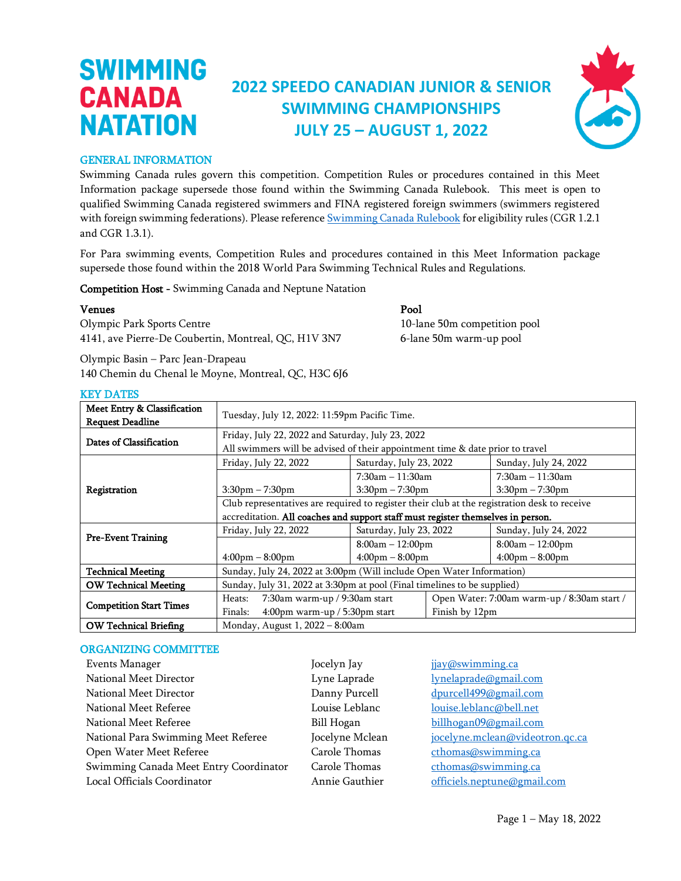### **2022 SPEEDO CANADIAN JUNIOR & SENIOR SWIMMING CHAMPIONSHIPS JULY 25 – AUGUST 1, 2022**



#### GENERAL INFORMATION

**SWIMMING** 

**CANADA** 

**NATATION** 

Swimming Canada rules govern this competition. Competition Rules or procedures contained in this Meet Information package supersede those found within the Swimming Canada Rulebook. This meet is open to qualified Swimming Canada registered swimmers and FINA registered foreign swimmers (swimmers registered with foreign swimming federations). Please referenc[e Swimming Canada Rulebook](https://www.swimming.ca/en/swimmingcanadarules/) for eligibility rules (CGR 1.2.1 and CGR 1.3.1).

For Para swimming events, Competition Rules and procedures contained in this Meet Information package supersede those found within the 2018 World Para Swimming Technical Rules and Regulations.

Competition Host - Swimming Canada and Neptune Natation

#### Venues Pool

Olympic Park Sports Centre 10-lane 50m competition pool 4141, ave Pierre-De Coubertin, Montreal, QC, H1V 3N7 6-lane 50m warm-up pool

Olympic Basin – Parc Jean-Drapeau 140 Chemin du Chenal le Moyne, Montreal, QC, H3C 6J6

| Meet Entry & Classification<br><b>Request Deadline</b> | Tuesday, July 12, 2022: 11:59pm Pacific Time.                                                                                      |                                   |                                             |                                   |  |
|--------------------------------------------------------|------------------------------------------------------------------------------------------------------------------------------------|-----------------------------------|---------------------------------------------|-----------------------------------|--|
| Dates of Classification                                | Friday, July 22, 2022 and Saturday, July 23, 2022<br>All swimmers will be advised of their appointment time & date prior to travel |                                   |                                             |                                   |  |
|                                                        | Friday, July 22, 2022                                                                                                              | Saturday, July 23, 2022           |                                             | Sunday, July 24, 2022             |  |
|                                                        |                                                                                                                                    | $7:30am - 11:30am$                |                                             | $7:30$ am $-11:30$ am             |  |
| Registration                                           | $3:30$ pm $-7:30$ pm                                                                                                               | $3:30pm - 7:30pm$                 |                                             | $3:30$ pm $-7:30$ pm              |  |
|                                                        | Club representatives are required to register their club at the registration desk to receive                                       |                                   |                                             |                                   |  |
|                                                        | accreditation. All coaches and support staff must register themselves in person.                                                   |                                   |                                             |                                   |  |
|                                                        | Friday, July 22, 2022                                                                                                              | Saturday, July 23, 2022           |                                             | Sunday, July 24, 2022             |  |
| <b>Pre-Event Training</b>                              |                                                                                                                                    | $8:00am - 12:00pm$                |                                             | $8:00am - 12:00pm$                |  |
|                                                        | $4:00 \text{pm} - 8:00 \text{pm}$                                                                                                  | $4:00 \text{pm} - 8:00 \text{pm}$ |                                             | $4:00 \text{pm} - 8:00 \text{pm}$ |  |
| <b>Technical Meeting</b>                               | Sunday, July 24, 2022 at 3:00pm (Will include Open Water Information)                                                              |                                   |                                             |                                   |  |
| <b>OW Technical Meeting</b>                            | Sunday, July 31, 2022 at 3:30pm at pool (Final timelines to be supplied)                                                           |                                   |                                             |                                   |  |
| <b>Competition Start Times</b>                         | 7:30am warm-up / 9:30am start<br>Heats:                                                                                            |                                   | Open Water: 7:00am warm-up / 8:30am start / |                                   |  |
|                                                        | $4:00 \text{pm warm-up} / 5:30 \text{pm start}$<br>Finals:                                                                         |                                   | Finish by 12pm                              |                                   |  |
| <b>OW Technical Briefing</b>                           | Monday, August 1, 2022 - 8:00am                                                                                                    |                                   |                                             |                                   |  |

### KEY DATES

#### ORGANIZING COMMITTEE

| Events Manager                         | Jocelyn Jay       | jjay@swimming.ca                |
|----------------------------------------|-------------------|---------------------------------|
| National Meet Director                 | Lyne Laprade      | lynelaprade@gmail.com           |
| National Meet Director                 | Danny Purcell     | dpurcell499@gmail.com           |
| National Meet Referee                  | Louise Leblanc    | louise.leblanc@bell.net         |
| National Meet Referee                  | <b>Bill Hogan</b> | billhogan09@gmail.com           |
| National Para Swimming Meet Referee    | Jocelyne Mclean   | jocelyne.mclean@videotron.qc.ca |
| Open Water Meet Referee                | Carole Thomas     | cthomas@swimming.ca             |
| Swimming Canada Meet Entry Coordinator | Carole Thomas     | cthomas@swimming.ca             |
| Local Officials Coordinator            | Annie Gauthier    | officiels.neptune@gmail.com     |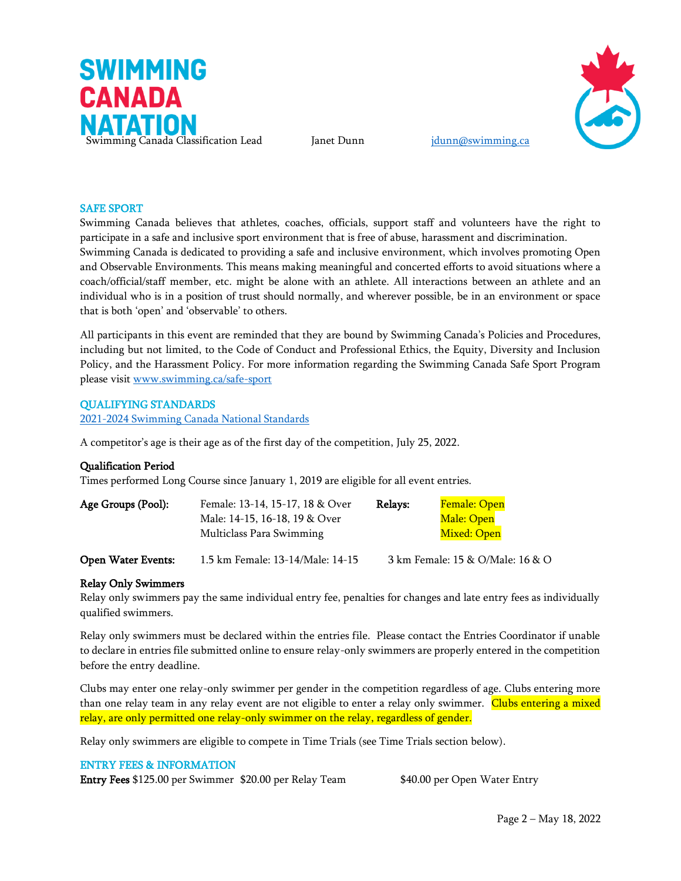



#### SAFE SPORT

Swimming Canada believes that athletes, coaches, officials, support staff and volunteers have the right to participate in a safe and inclusive sport environment that is free of abuse, harassment and discrimination. Swimming Canada is dedicated to providing a safe and inclusive environment, which involves promoting Open and Observable Environments. This means making meaningful and concerted efforts to avoid situations where a coach/official/staff member, etc. might be alone with an athlete. All interactions between an athlete and an individual who is in a position of trust should normally, and wherever possible, be in an environment or space that is both 'open' and 'observable' to others.

All participants in this event are reminded that they are bound by Swimming Canada's Policies and Procedures, including but not limited, to the Code of Conduct and Professional Ethics, the Equity, Diversity and Inclusion Policy, and the Harassment Policy. For more information regarding the Swimming Canada Safe Sport Program please visit [www.swimming.ca/safe-sport](http://www.swimming.ca/safe-sport)

#### QUALIFYING STANDARDS

[2021-2024 Swimming Canada National Standards](https://www.swimming.ca/en/resources/teams-selection-policies/national-preliminary-meet-information/)

A competitor's age is their age as of the first day of the competition, July 25, 2022.

#### Qualification Period

Times performed Long Course since January 1, 2019 are eligible for all event entries.

| Age Groups (Pool): | Female: 13-14, 15-17, 18 & Over | Relays: | Female: Open |
|--------------------|---------------------------------|---------|--------------|
|                    | Male: 14-15, 16-18, 19 & Over   |         | Male: Open   |
|                    | Multiclass Para Swimming        |         | Mixed: Open  |
|                    |                                 |         |              |

Open Water Events: 1.5 km Female: 13-14/Male: 14-15 3 km Female: 15 & O/Male: 16 & O

#### Relay Only Swimmers

Relay only swimmers pay the same individual entry fee, penalties for changes and late entry fees as individually qualified swimmers.

Relay only swimmers must be declared within the entries file. Please contact the Entries Coordinator if unable to declare in entries file submitted online to ensure relay-only swimmers are properly entered in the competition before the entry deadline.

Clubs may enter one relay-only swimmer per gender in the competition regardless of age. Clubs entering more than one relay team in any relay event are not eligible to enter a relay only swimmer. Clubs entering a mixed relay, are only permitted one relay-only swimmer on the relay, regardless of gender.

Relay only swimmers are eligible to compete in Time Trials (see Time Trials section below).

#### ENTRY FEES & INFORMATION

Entry Fees \$125.00 per Swimmer \$20.00 per Relay Team \$40.00 per Open Water Entry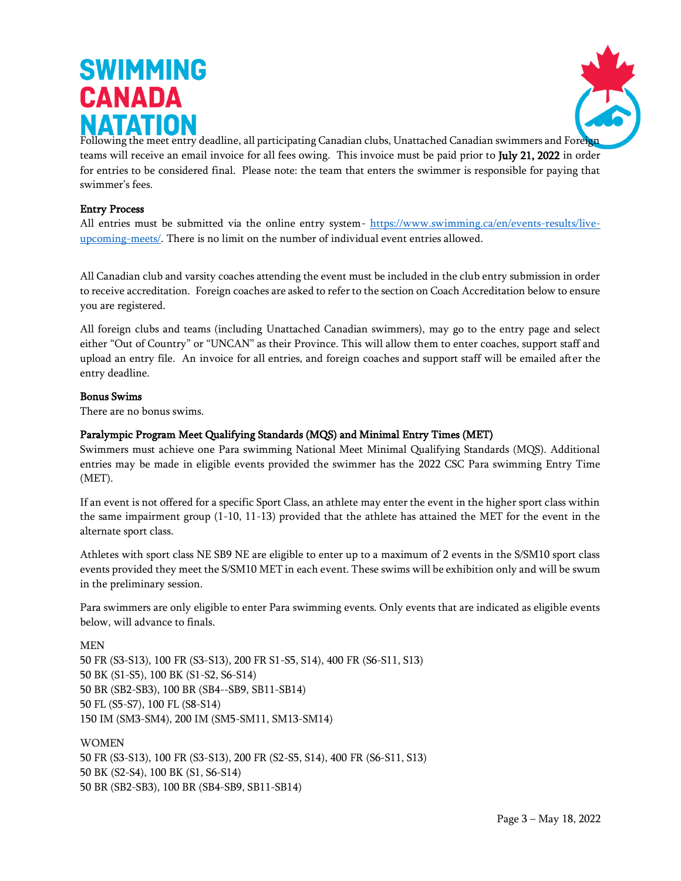

Following the meet entry deadline, all participating Canadian clubs, Unattached Canadian swimmers and Foreign teams will receive an email invoice for all fees owing. This invoice must be paid prior to July 21, 2022 in order for entries to be considered final. Please note: the team that enters the swimmer is responsible for paying that swimmer's fees.

#### Entry Process

All entries must be submitted via the online entry system- [https://www.swimming.ca/en/events-results/live](https://www.swimming.ca/en/events-results/live-upcoming-meets/)[upcoming-meets/.](https://www.swimming.ca/en/events-results/live-upcoming-meets/) There is no limit on the number of individual event entries allowed.

All Canadian club and varsity coaches attending the event must be included in the club entry submission in order to receive accreditation. Foreign coaches are asked to refer to the section on Coach Accreditation below to ensure you are registered.

All foreign clubs and teams (including Unattached Canadian swimmers), may go to the entry page and select either "Out of Country" or "UNCAN" as their Province. This will allow them to enter coaches, support staff and upload an entry file. An invoice for all entries, and foreign coaches and support staff will be emailed after the entry deadline.

#### Bonus Swims

There are no bonus swims.

### Paralympic Program Meet Qualifying Standards (MQS) and Minimal Entry Times (MET)

Swimmers must achieve one Para swimming National Meet Minimal Qualifying Standards (MQS). Additional entries may be made in eligible events provided the swimmer has the 2022 CSC Para swimming Entry Time (MET).

If an event is not offered for a specific Sport Class, an athlete may enter the event in the higher sport class within the same impairment group (1-10, 11-13) provided that the athlete has attained the MET for the event in the alternate sport class.

Athletes with sport class NE SB9 NE are eligible to enter up to a maximum of 2 events in the S/SM10 sport class events provided they meet the S/SM10 MET in each event. These swims will be exhibition only and will be swum in the preliminary session.

Para swimmers are only eligible to enter Para swimming events. Only events that are indicated as eligible events below, will advance to finals.

MEN

50 FR (S3-S13), 100 FR (S3-S13), 200 FR S1-S5, S14), 400 FR (S6-S11, S13) 50 BK (S1-S5), 100 BK (S1-S2, S6-S14) 50 BR (SB2-SB3), 100 BR (SB4--SB9, SB11-SB14) 50 FL (S5-S7), 100 FL (S8-S14) 150 IM (SM3-SM4), 200 IM (SM5-SM11, SM13-SM14)

WOMEN 50 FR (S3-S13), 100 FR (S3-S13), 200 FR (S2-S5, S14), 400 FR (S6-S11, S13) 50 BK (S2-S4), 100 BK (S1, S6-S14) 50 BR (SB2-SB3), 100 BR (SB4-SB9, SB11-SB14)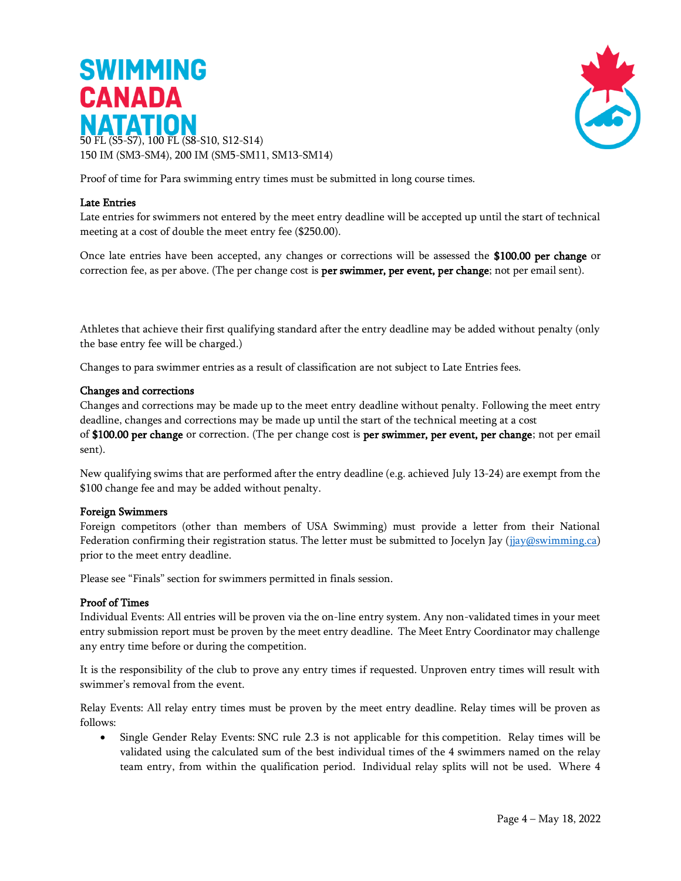



Proof of time for Para swimming entry times must be submitted in long course times.

#### Late Entries

Late entries for swimmers not entered by the meet entry deadline will be accepted up until the start of technical meeting at a cost of double the meet entry fee (\$250.00).

Once late entries have been accepted, any changes or corrections will be assessed the \$100.00 per change or correction fee, as per above. (The per change cost is **per swimmer, per event, per change**; not per email sent).

Athletes that achieve their first qualifying standard after the entry deadline may be added without penalty (only the base entry fee will be charged.)

Changes to para swimmer entries as a result of classification are not subject to Late Entries fees.

#### Changes and corrections

Changes and corrections may be made up to the meet entry deadline without penalty. Following the meet entry deadline, changes and corrections may be made up until the start of the technical meeting at a cost

of \$100.00 per change or correction. (The per change cost is per swimmer, per event, per change; not per email sent).

New qualifying swims that are performed after the entry deadline (e.g. achieved July 13-24) are exempt from the \$100 change fee and may be added without penalty.

#### Foreign Swimmers

Foreign competitors (other than members of USA Swimming) must provide a letter from their National Federation confirming their registration status. The letter must be submitted to Jocelyn Jay [\(jjay@swimming.ca\)](mailto:jjay@swimming.ca) prior to the meet entry deadline.

Please see "Finals" section for swimmers permitted in finals session.

#### Proof of Times

Individual Events: All entries will be proven via the on-line entry system. Any non-validated times in your meet entry submission report must be proven by the meet entry deadline. The Meet Entry Coordinator may challenge any entry time before or during the competition.

It is the responsibility of the club to prove any entry times if requested. Unproven entry times will result with swimmer's removal from the event.

Relay Events: All relay entry times must be proven by the meet entry deadline. Relay times will be proven as follows:

• Single Gender Relay Events: SNC rule 2.3 is not applicable for this competition. Relay times will be validated using the calculated sum of the best individual times of the 4 swimmers named on the relay team entry, from within the qualification period. Individual relay splits will not be used. Where 4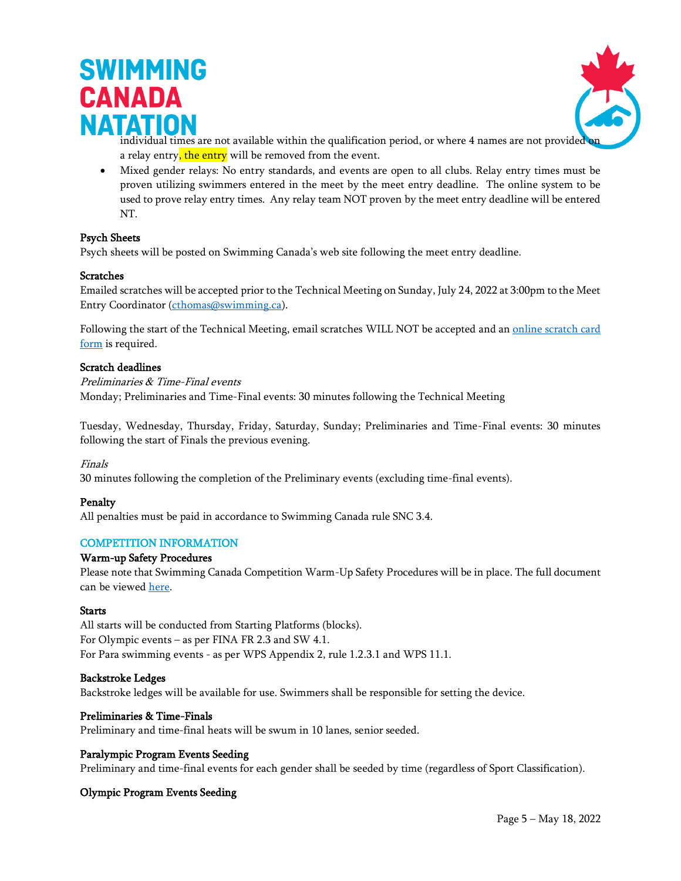



- individual times are not available within the qualification period, or where 4 names are not provided a relay entry, the entry will be removed from the event.
- Mixed gender relays: No entry standards, and events are open to all clubs. Relay entry times must be proven utilizing swimmers entered in the meet by the meet entry deadline. The online system to be used to prove relay entry times. Any relay team NOT proven by the meet entry deadline will be entered NT.

#### Psych Sheets

Psych sheets will be posted on Swimming Canada's web site following the meet entry deadline.

#### **Scratches**

Emailed scratches will be accepted prior to the Technical Meeting on Sunday, July 24, 2022 at 3:00pm to the Meet Entry Coordinator [\(cthomas@swimming.ca\)](mailto:rtraynor@swimming.ca).

Following the start of the Technical Meeting, email scratches WILL NOT be accepted and an online scratch card [form](https://forms.swimming.ca/machform/view.php?id=201482) is required.

#### Scratch deadlines

#### Preliminaries & Time-Final events

Monday; Preliminaries and Time-Final events: 30 minutes following the Technical Meeting

Tuesday, Wednesday, Thursday, Friday, Saturday, Sunday; Preliminaries and Time-Final events: 30 minutes following the start of Finals the previous evening.

#### Finals

30 minutes following the completion of the Preliminary events (excluding time-final events).

#### Penalty

All penalties must be paid in accordance to Swimming Canada rule SNC 3.4.

#### COMPETITION INFORMATION

#### Warm-up Safety Procedures

Please note that Swimming Canada Competition Warm-Up Safety Procedures will be in place. The full document can be viewed [here.](https://www.swimming.ca/en/resources/officiating/event-resources/competition-warm-up-safety-procedures/)

#### **Starts**

All starts will be conducted from Starting Platforms (blocks). For Olympic events – as per FINA FR 2.3 and SW 4.1. For Para swimming events - as per WPS Appendix 2, rule 1.2.3.1 and WPS 11.1.

#### Backstroke Ledges

Backstroke ledges will be available for use. Swimmers shall be responsible for setting the device.

#### Preliminaries & Time-Finals

Preliminary and time-final heats will be swum in 10 lanes, senior seeded.

#### Paralympic Program Events Seeding

Preliminary and time-final events for each gender shall be seeded by time (regardless of Sport Classification).

#### Olympic Program Events Seeding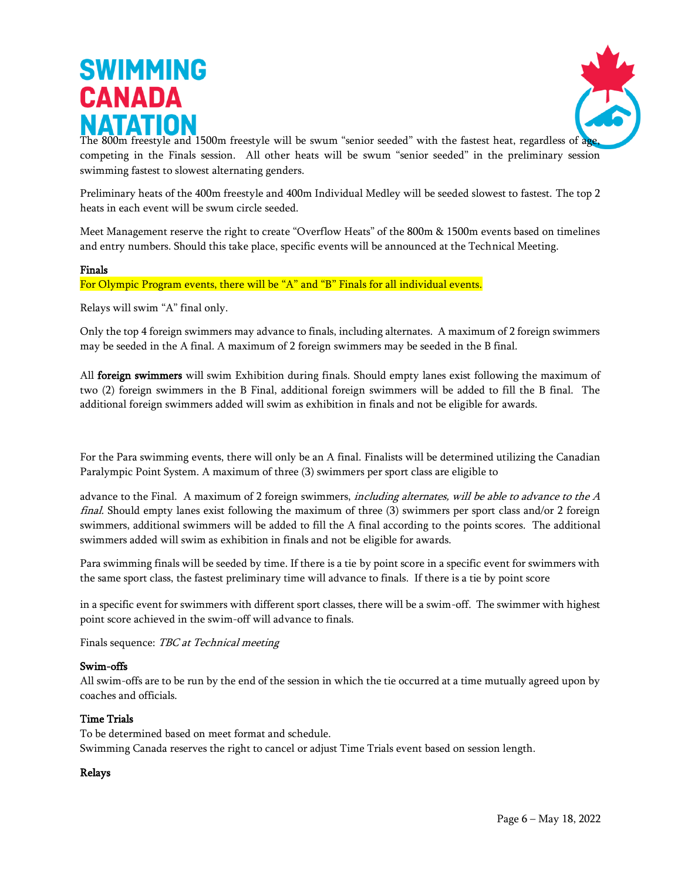

The 800m freestyle and 1500m freestyle will be swum "senior seeded" with the fastest heat, regardless of ag competing in the Finals session. All other heats will be swum "senior seeded" in the preliminary session swimming fastest to slowest alternating genders.

Preliminary heats of the 400m freestyle and 400m Individual Medley will be seeded slowest to fastest. The top 2 heats in each event will be swum circle seeded.

Meet Management reserve the right to create "Overflow Heats" of the 800m & 1500m events based on timelines and entry numbers. Should this take place, specific events will be announced at the Technical Meeting.

#### Finals

For Olympic Program events, there will be "A" and "B" Finals for all individual events.

Relays will swim "A" final only.

Only the top 4 foreign swimmers may advance to finals, including alternates. A maximum of 2 foreign swimmers may be seeded in the A final. A maximum of 2 foreign swimmers may be seeded in the B final.

All foreign swimmers will swim Exhibition during finals. Should empty lanes exist following the maximum of two (2) foreign swimmers in the B Final, additional foreign swimmers will be added to fill the B final. The additional foreign swimmers added will swim as exhibition in finals and not be eligible for awards.

For the Para swimming events, there will only be an A final. Finalists will be determined utilizing the Canadian Paralympic Point System. A maximum of three (3) swimmers per sport class are eligible to

advance to the Final. A maximum of 2 foreign swimmers, including alternates, will be able to advance to the  $A$ final. Should empty lanes exist following the maximum of three (3) swimmers per sport class and/or 2 foreign swimmers, additional swimmers will be added to fill the A final according to the points scores. The additional swimmers added will swim as exhibition in finals and not be eligible for awards.

Para swimming finals will be seeded by time. If there is a tie by point score in a specific event for swimmers with the same sport class, the fastest preliminary time will advance to finals. If there is a tie by point score

in a specific event for swimmers with different sport classes, there will be a swim-off. The swimmer with highest point score achieved in the swim-off will advance to finals.

Finals sequence: TBC at Technical meeting

#### Swim-offs

All swim-offs are to be run by the end of the session in which the tie occurred at a time mutually agreed upon by coaches and officials.

#### Time Trials

To be determined based on meet format and schedule. Swimming Canada reserves the right to cancel or adjust Time Trials event based on session length.

#### Relays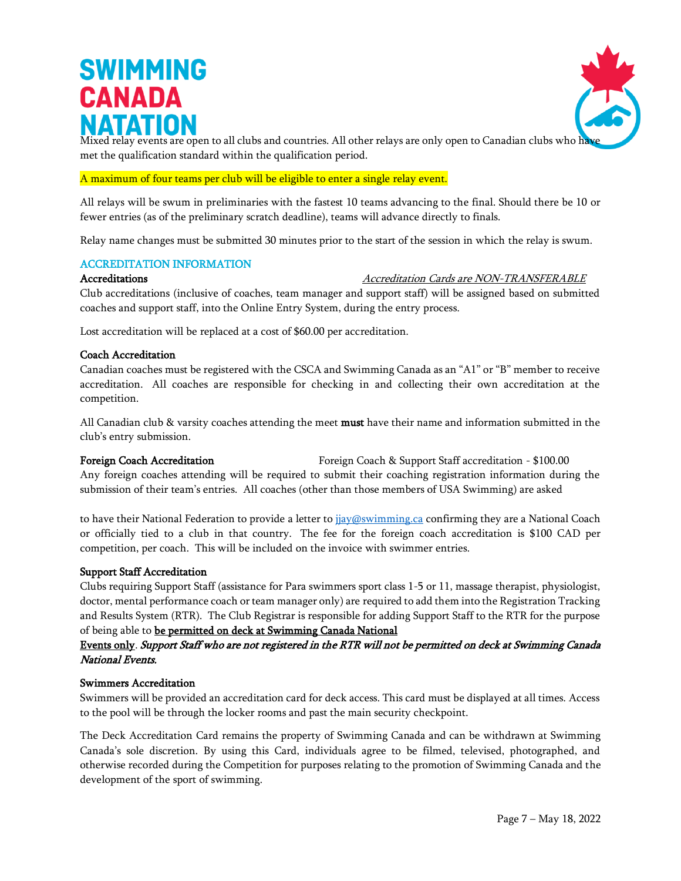

Mixed relay events are open to all clubs and countries. All other relays are only open to Canadian clubs who have met the qualification standard within the qualification period.

#### A maximum of four teams per club will be eligible to enter a single relay event.

All relays will be swum in preliminaries with the fastest 10 teams advancing to the final. Should there be 10 or fewer entries (as of the preliminary scratch deadline), teams will advance directly to finals.

Relay name changes must be submitted 30 minutes prior to the start of the session in which the relay is swum.

#### ACCREDITATION INFORMATION

#### Accreditations Accreditation Cards are NON-TRANSFERABLE

Club accreditations (inclusive of coaches, team manager and support staff) will be assigned based on submitted coaches and support staff, into the Online Entry System, during the entry process.

Lost accreditation will be replaced at a cost of \$60.00 per accreditation.

#### Coach Accreditation

Canadian coaches must be registered with the CSCA and Swimming Canada as an "A1" or "B" member to receive accreditation. All coaches are responsible for checking in and collecting their own accreditation at the competition.

All Canadian club & varsity coaches attending the meet must have their name and information submitted in the club's entry submission.

Foreign Coach Accreditation Foreign Coach & Support Staff accreditation - \$100.00 Any foreign coaches attending will be required to submit their coaching registration information during the submission of their team's entries. All coaches (other than those members of USA Swimming) are asked

to have their National Federation to provide a letter to [jjay@swimming.ca](mailto:jjay@swimming.ca) confirming they are a National Coach or officially tied to a club in that country. The fee for the foreign coach accreditation is \$100 CAD per competition, per coach. This will be included on the invoice with swimmer entries.

#### Support Staff Accreditation

Clubs requiring Support Staff (assistance for Para swimmers sport class 1-5 or 11, massage therapist, physiologist, doctor, mental performance coach or team manager only) are required to add them into the Registration Tracking and Results System (RTR). The Club Registrar is responsible for adding Support Staff to the RTR for the purpose of being able to be permitted on deck at Swimming Canada National

### Events only. Support Staff who are not registered in the RTR will not be permitted on deck at Swimming Canada National Events.

#### Swimmers Accreditation

Swimmers will be provided an accreditation card for deck access. This card must be displayed at all times. Access to the pool will be through the locker rooms and past the main security checkpoint.

The Deck Accreditation Card remains the property of Swimming Canada and can be withdrawn at Swimming Canada's sole discretion. By using this Card, individuals agree to be filmed, televised, photographed, and otherwise recorded during the Competition for purposes relating to the promotion of Swimming Canada and the development of the sport of swimming.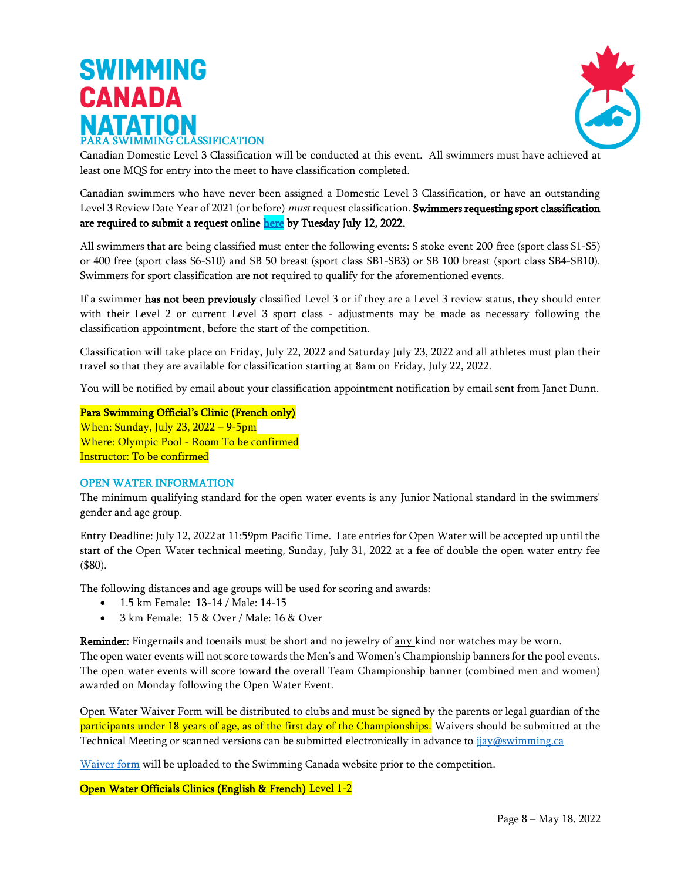# **SWIMMING CANADA** PARA SWIMMING CLASSIFICATION



Canadian Domestic Level 3 Classification will be conducted at this event. All swimmers must have achieved at least one MQS for entry into the meet to have classification completed.

Canadian swimmers who have never been assigned a Domestic Level 3 Classification, or have an outstanding Level 3 Review Date Year of 2021 (or before) must request classification. Swimmers requesting sport classification are required to submit a request onlin[e here](https://www.swimming.ca/en/resources/para-swimming/para-swimming-classification/) by Tuesday July 12, 2022.

All swimmers that are being classified must enter the following events: S stoke event 200 free (sport class S1-S5) or 400 free (sport class S6-S10) and SB 50 breast (sport class SB1-SB3) or SB 100 breast (sport class SB4-SB10). Swimmers for sport classification are not required to qualify for the aforementioned events.

If a swimmer has not been previously classified Level 3 or if they are a Level 3 review status, they should enter with their Level 2 or current Level 3 sport class - adjustments may be made as necessary following the classification appointment, before the start of the competition.

Classification will take place on Friday, July 22, 2022 and Saturday July 23, 2022 and all athletes must plan their travel so that they are available for classification starting at 8am on Friday, July 22, 2022.

You will be notified by email about your classification appointment notification by email sent from Janet Dunn.

Para Swimming Official's Clinic (French only) When: Sunday, July 23, 2022 – 9-5pm Where: Olympic Pool - Room To be confirmed Instructor: To be confirmed

#### OPEN WATER INFORMATION

The minimum qualifying standard for the open water events is any Junior National standard in the swimmers' gender and age group.

Entry Deadline: July 12, 2022 at 11:59pm Pacific Time. Late entries for Open Water will be accepted up until the start of the Open Water technical meeting, Sunday, July 31, 2022 at a fee of double the open water entry fee (\$80).

The following distances and age groups will be used for scoring and awards:

- 1.5 km Female: 13-14 / Male: 14-15
- 3 km Female: 15 & Over / Male: 16 & Over

Reminder: Fingernails and toenails must be short and no jewelry of any kind nor watches may be worn. The open water events will not score towards the Men's and Women's Championship banners for the pool events. The open water events will score toward the overall Team Championship banner (combined men and women) awarded on Monday following the Open Water Event.

Open Water Waiver Form will be distributed to clubs and must be signed by the parents or legal guardian of the participants under 18 years of age, as of the first day of the Championships. Waivers should be submitted at the Technical Meeting or scanned versions can be submitted electronically in advance to [jjay@swimming.ca](mailto:azevnik@swimming.ca)

[Waiver form](https://www.swimming.ca/content/uploads/2021/10/WAIVER_FOR_SWIMMING_CANADA_2022_OPEN_SWIM_FINAL.pdf) will be uploaded to the Swimming Canada website prior to the competition.

Open Water Officials Clinics (English & French) Level 1-2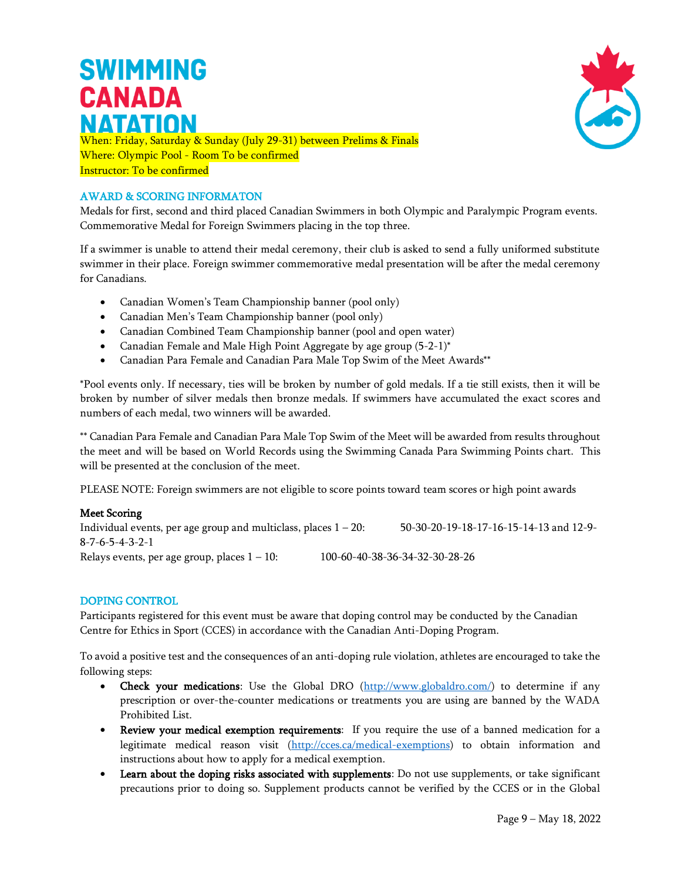

When: Friday, Saturday & Sunday (July 29-31) between Prelims & Finals Where: Olympic Pool - Room To be confirmed Instructor: To be confirmed

### AWARD & SCORING INFORMATON

Medals for first, second and third placed Canadian Swimmers in both Olympic and Paralympic Program events. Commemorative Medal for Foreign Swimmers placing in the top three.

If a swimmer is unable to attend their medal ceremony, their club is asked to send a fully uniformed substitute swimmer in their place. Foreign swimmer commemorative medal presentation will be after the medal ceremony for Canadians.

- Canadian Women's Team Championship banner (pool only)
- Canadian Men's Team Championship banner (pool only)
- Canadian Combined Team Championship banner (pool and open water)
- Canadian Female and Male High Point Aggregate by age group  $(5-2-1)^*$
- Canadian Para Female and Canadian Para Male Top Swim of the Meet Awards\*\*

\*Pool events only. If necessary, ties will be broken by number of gold medals. If a tie still exists, then it will be broken by number of silver medals then bronze medals. If swimmers have accumulated the exact scores and numbers of each medal, two winners will be awarded.

\*\* Canadian Para Female and Canadian Para Male Top Swim of the Meet will be awarded from results throughout the meet and will be based on World Records using the Swimming Canada Para Swimming Points chart. This will be presented at the conclusion of the meet.

PLEASE NOTE: Foreign swimmers are not eligible to score points toward team scores or high point awards

#### Meet Scoring

Individual events, per age group and multiclass, places 1 – 20: 50-30-20-19-18-17-16-15-14-13 and 12-9- 8-7-6-5-4-3-2-1 Relays events, per age group, places 1 – 10: 100-60-40-38-36-34-32-30-28-26

#### DOPING CONTROL

Participants registered for this event must be aware that doping control may be conducted by the Canadian Centre for Ethics in Sport (CCES) in accordance with the Canadian Anti-Doping Program.

To avoid a positive test and the consequences of an anti-doping rule violation, athletes are encouraged to take the following steps:

- Check your medications: Use the Global DRO [\(http://www.globaldro.com/\)](http://www.globaldro.com/) to determine if any prescription or over-the-counter medications or treatments you are using are banned by the WADA Prohibited List.
- Review your medical exemption requirements: If you require the use of a banned medication for a legitimate medical reason visit [\(http://cces.ca/medical-exemptions\)](http://cces.ca/medical-exemptions) to obtain information and instructions about how to apply for a medical exemption.
- Learn about the doping risks associated with supplements: Do not use supplements, or take significant precautions prior to doing so. Supplement products cannot be verified by the CCES or in the Global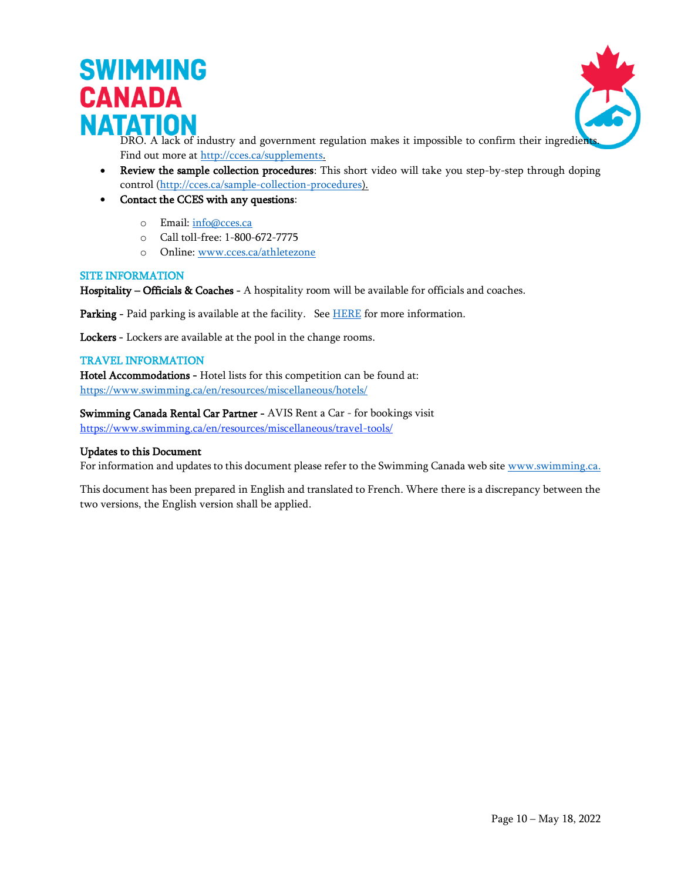

DRO. A lack of industry and government regulation makes it impossible to confirm their ingredient Find out more at [http://cces.ca/supplements.](http://cces.ca/supplements)

- Review the sample collection procedures: This short video will take you step-by-step through doping control [\(http://cces.ca/sample-collection-procedures\)](http://cces.ca/sample-collection-procedures).
- Contact the CCES with any questions:
	- o Email: [info@cces.ca](mailto:info@cces.ca)
	- o Call toll-free: 1-800-672-7775
	- o Online: [www.cces.ca/athletezone](http://www.cces.ca/athletezone)

#### SITE INFORMATION

Hospitality – Officials & Coaches - A hospitality room will be available for officials and coaches.

Parking - Paid parking is available at the facility. See [HERE](https://www.repsolsportcentre.com/facility/parking) for more information.

Lockers - Lockers are available at the pool in the change rooms.

#### TRAVEL INFORMATION

Hotel Accommodations - Hotel lists for this competition can be found at: <https://www.swimming.ca/en/resources/miscellaneous/hotels/>

Swimming Canada Rental Car Partner - AVIS Rent a Car - for bookings visit <https://www.swimming.ca/en/resources/miscellaneous/travel-tools/>

#### Updates to this Document

For information and updates to this document please refer to the Swimming Canada web sit[e www.swimming.ca.](http://www.swimming.ca/)

This document has been prepared in English and translated to French. Where there is a discrepancy between the two versions, the English version shall be applied.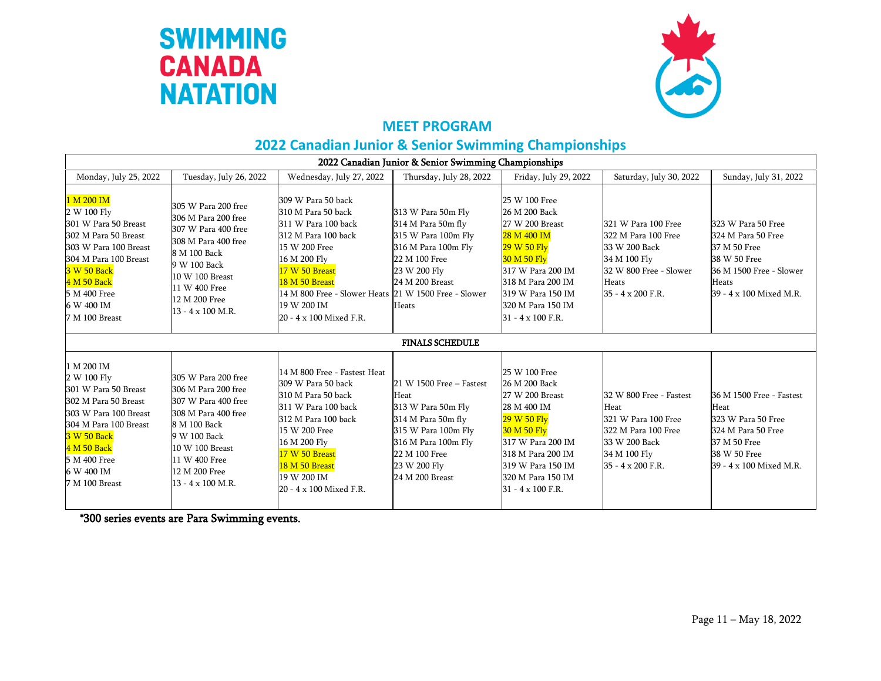



### **MEET PROGRAM**

### **2022 Canadian Junior & Senior Swimming Championships**

| 2022 Canadian Junior & Senior Swimming Championships                                                                                                                                                             |                                                                                                                                                                                                           |                                                                                                                                                                                                                                                               |                                                                                                                                                                                |                                                                                                                                                                                                                       |                                                                                                                                     |                                                                                                                                         |  |
|------------------------------------------------------------------------------------------------------------------------------------------------------------------------------------------------------------------|-----------------------------------------------------------------------------------------------------------------------------------------------------------------------------------------------------------|---------------------------------------------------------------------------------------------------------------------------------------------------------------------------------------------------------------------------------------------------------------|--------------------------------------------------------------------------------------------------------------------------------------------------------------------------------|-----------------------------------------------------------------------------------------------------------------------------------------------------------------------------------------------------------------------|-------------------------------------------------------------------------------------------------------------------------------------|-----------------------------------------------------------------------------------------------------------------------------------------|--|
| Monday, July 25, 2022                                                                                                                                                                                            | Tuesday, July 26, 2022                                                                                                                                                                                    | Wednesday, July 27, 2022                                                                                                                                                                                                                                      | Thursday, July 28, 2022                                                                                                                                                        | Friday, July 29, 2022                                                                                                                                                                                                 | Saturday, July 30, 2022                                                                                                             | Sunday, July 31, 2022                                                                                                                   |  |
| 1 M 200 IM<br>2 W 100 Fly<br>301 W Para 50 Breast<br>302 M Para 50 Breast<br>303 W Para 100 Breast<br>304 M Para 100 Breast<br><b>3 W 50 Back</b><br>4 M 50 Back<br>5 M 400 Free<br>6 W 400 IM<br>7 M 100 Breast | 305 W Para 200 free<br>306 M Para 200 free<br>307 W Para 400 free<br>308 M Para 400 free<br>8 M 100 Back<br>9 W 100 Back<br>10 W 100 Breast<br>11 W 400 Free<br>12 M 200 Free<br>$13 - 4 \times 100$ M.R. | 309 W Para 50 back<br>310 M Para 50 back<br>311 W Para 100 back<br>312 M Para 100 back<br>15 W 200 Free<br>16 M 200 Fly<br>17 W 50 Breast<br>18 M 50 Breast<br>14 M 800 Free - Slower Heats 21 W 1500 Free - Slower<br>19 W 200 IM<br>20 - 4 x 100 Mixed F.R. | 313 W Para 50m Fly<br>314 M Para 50m fly<br>315 W Para 100m Fly<br>316 M Para 100m Fly<br>22 M 100 Free<br>23 W 200 Fly<br>24 M 200 Breast<br>Heats                            | 25 W 100 Free<br>26 M 200 Back<br>27 W 200 Breast<br>28 M 400 IM<br>29 W 50 Flv<br><b>30 M 50 Fly</b><br>317 W Para 200 IM<br>318 M Para 200 IM<br>319 W Para 150 IM<br>320 M Para 150 IM<br>$31 - 4 \times 100$ F.R. | 321 W Para 100 Free<br>322 M Para 100 Free<br>33 W 200 Back<br>34 M 100 Fly<br>32 W 800 Free - Slower<br>Heats<br>35 - 4 x 200 F.R. | 323 W Para 50 Free<br>324 M Para 50 Free<br>37 M 50 Free<br>38 W 50 Free<br>36 M 1500 Free - Slower<br>Heats<br>39 - 4 x 100 Mixed M.R. |  |
|                                                                                                                                                                                                                  |                                                                                                                                                                                                           |                                                                                                                                                                                                                                                               | <b>FINALS SCHEDULE</b>                                                                                                                                                         |                                                                                                                                                                                                                       |                                                                                                                                     |                                                                                                                                         |  |
| 1 M 200 IM<br>2 W 100 Fly<br>301 W Para 50 Breast<br>302 M Para 50 Breast<br>303 W Para 100 Breast<br>304 M Para 100 Breast<br><b>3 W 50 Back</b><br>4 M 50 Back<br>5 M 400 Free<br>6 W 400 IM<br>7 M 100 Breast | 305 W Para 200 free<br>306 M Para 200 free<br>307 W Para 400 free<br>308 M Para 400 free<br>8 M 100 Back<br>9 W 100 Back<br>10 W 100 Breast<br>11 W 400 Free<br>12 M 200 Free<br>13 - 4 x 100 M.R.        | 14 M 800 Free - Fastest Heat<br>309 W Para 50 back<br>310 M Para 50 back<br>311 W Para 100 back<br>312 M Para 100 back<br>15 W 200 Free<br>16 M 200 Fly<br>17 W 50 Breast<br>18 M 50 Breast<br>19 W 200 IM<br>20 - 4 x 100 Mixed F.R.                         | 21 W 1500 Free - Fastest<br>Heat<br>313 W Para 50m Fly<br>314 M Para 50m fly<br>315 W Para 100m Fly<br>316 M Para 100m Fly<br>22 M 100 Free<br>23 W 200 Fly<br>24 M 200 Breast | 25 W 100 Free<br>26 M 200 Back<br>27 W 200 Breast<br>28 M 400 IM<br>29 W 50 Fly<br><b>30 M 50 Fly</b><br>317 W Para 200 IM<br>318 M Para 200 IM<br>319 W Para 150 IM<br>320 M Para 150 IM<br>$31 - 4 \times 100$ F.R. | 32 W 800 Free - Fastest<br>Heat<br>321 W Para 100 Free<br>322 M Para 100 Free<br>33 W 200 Back<br>34 M 100 Fly<br>35 - 4 x 200 F.R. | 36 M 1500 Free - Fastest<br>Heat<br>323 W Para 50 Free<br>324 M Para 50 Free<br>37 M 50 Free<br>38 W 50 Free<br>39 - 4 x 100 Mixed M.R. |  |

\*300 series events are Para Swimming events.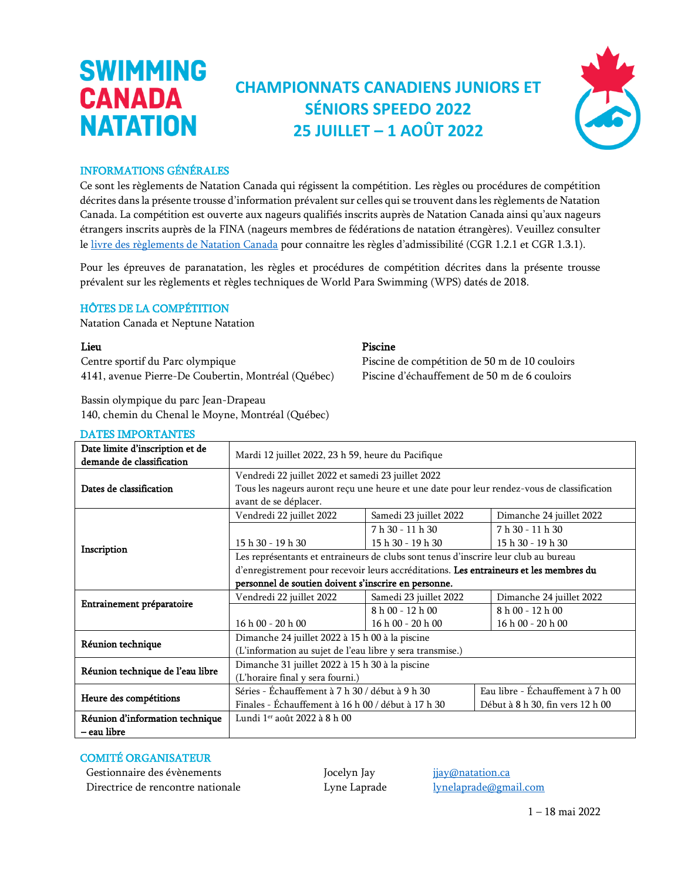### **CHAMPIONNATS CANADIENS JUNIORS ET SÉNIORS SPEEDO 2022 25 JUILLET – 1 AOÛT 2022**



#### INFORMATIONS GÉNÉRALES

**SWIMMING** 

**CANADA** 

**NATATION** 

Ce sont les règlements de Natation Canada qui régissent la compétition. Les règles ou procédures de compétition décrites dans la présente trousse d'information prévalent sur celles qui se trouvent dans les règlements de Natation Canada. La compétition est ouverte aux nageurs qualifiés inscrits auprès de Natation Canada ainsi qu'aux nageurs étrangers inscrits auprès de la FINA (nageurs membres de fédérations de natation étrangères). Veuillez consulter le [livre des règlements de Natation Canada](https://www.swimming.ca/fr/reglementsnatationcanada/) pour connaitre les règles d'admissibilité (CGR 1.2.1 et CGR 1.3.1).

Pour les épreuves de paranatation, les règles et procédures de compétition décrites dans la présente trousse prévalent sur les règlements et règles techniques de World Para Swimming (WPS) datés de 2018.

### HÔTES DE LA COMPÉTITION

Natation Canada et Neptune Natation

Centre sportif du Parc olympique 4141, avenue Pierre-De Coubertin, Montréal (Québec)

Bassin olympique du parc Jean-Drapeau 140, chemin du Chenal le Moyne, Montréal (Québec)

### DATES IMPORTANTES Date limite d'inscription et de

### Lieu Piscine

Piscine de compétition de 50 m de 10 couloirs Piscine d'échauffement de 50 m de 6 couloirs

| Date limite d'inscription et de<br>demande de classification | Mardi 12 juillet 2022, 23 h 59, heure du Pacifique                                     |                        |                                                                                            |  |  |
|--------------------------------------------------------------|----------------------------------------------------------------------------------------|------------------------|--------------------------------------------------------------------------------------------|--|--|
|                                                              | Vendredi 22 juillet 2022 et samedi 23 juillet 2022                                     |                        |                                                                                            |  |  |
| Dates de classification                                      |                                                                                        |                        | Tous les nageurs auront reçu une heure et une date pour leur rendez-vous de classification |  |  |
|                                                              | avant de se déplacer.                                                                  |                        |                                                                                            |  |  |
|                                                              | Vendredi 22 juillet 2022                                                               | Samedi 23 juillet 2022 | Dimanche 24 juillet 2022                                                                   |  |  |
|                                                              |                                                                                        | $7 h 30 - 11 h 30$     | $7 h 30 - 11 h 30$                                                                         |  |  |
|                                                              | 15 h 30 - 19 h 30                                                                      | 15 h 30 - 19 h 30      | 15 h 30 - 19 h 30                                                                          |  |  |
| Inscription                                                  | Les représentants et entraineurs de clubs sont tenus d'inscrire leur club au bureau    |                        |                                                                                            |  |  |
|                                                              | d'enregistrement pour recevoir leurs accréditations. Les entraineurs et les membres du |                        |                                                                                            |  |  |
|                                                              | personnel de soutien doivent s'inscrire en personne.                                   |                        |                                                                                            |  |  |
|                                                              | Vendredi 22 juillet 2022                                                               | Samedi 23 juillet 2022 | Dimanche 24 juillet 2022                                                                   |  |  |
| Entrainement préparatoire                                    |                                                                                        | $8 h 00 - 12 h 00$     | $8 h 00 - 12 h 00$                                                                         |  |  |
|                                                              | $16h00 - 20h00$                                                                        | 16 h 00 - 20 h 00      | 16 h 00 - 20 h 00                                                                          |  |  |
| Réunion technique                                            | Dimanche 24 juillet 2022 à 15 h 00 à la piscine                                        |                        |                                                                                            |  |  |
|                                                              | (L'information au sujet de l'eau libre y sera transmise.)                              |                        |                                                                                            |  |  |
| Réunion technique de l'eau libre                             | Dimanche 31 juillet 2022 à 15 h 30 à la piscine                                        |                        |                                                                                            |  |  |
|                                                              | (L'horaire final y sera fourni.)                                                       |                        |                                                                                            |  |  |
|                                                              | Séries - Échauffement à 7 h 30 / début à 9 h 30                                        |                        | Eau libre - Échauffement à 7 h 00                                                          |  |  |
| Heure des compétitions                                       | Finales - Échauffement à 16 h 00 / début à 17 h 30                                     |                        | Début à 8 h 30, fin vers 12 h 00                                                           |  |  |
| Réunion d'information technique                              | Lundi 1 <sup>er</sup> août 2022 à 8 h 00                                               |                        |                                                                                            |  |  |
| – eau libre                                                  |                                                                                        |                        |                                                                                            |  |  |

#### COMITÉ ORGANISATEUR

Gestionnaire des évènements **Source des évènements** Jocelyn Jay *[jjay@natation.ca](mailto:jjay@natation.ca)* Directrice de rencontre nationale Lyne Laprade lyne Laprade [lynelaprade@gmail.com](mailto:lynelaprade@gmail.com)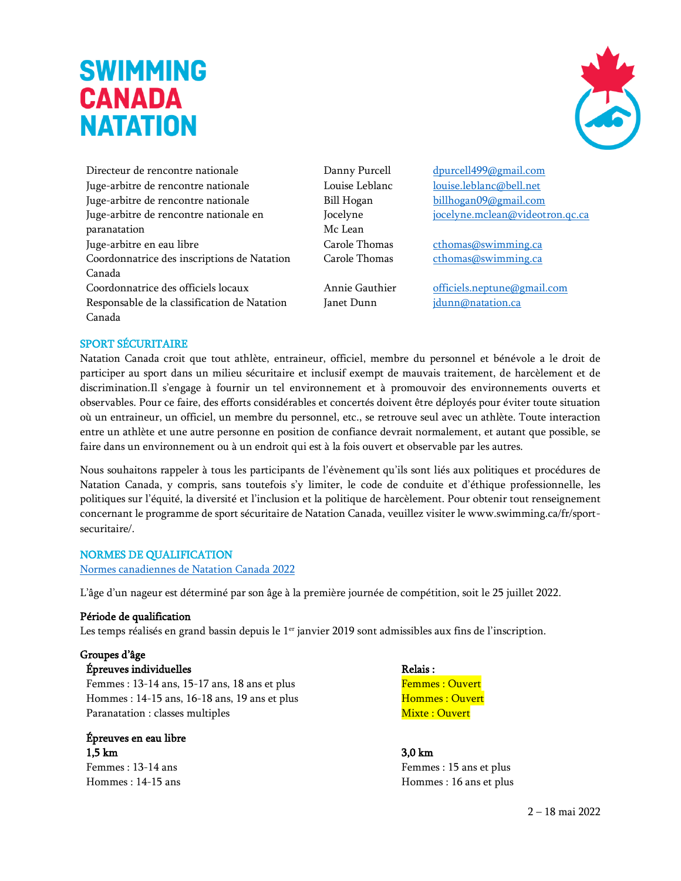

Directeur de rencontre nationale Danny Purcell [dpurcell499@gmail.com](mailto:dpurcell499@gmail.com) Juge-arbitre de rencontre nationale Louise Leblanc [louise.leblanc@bell.net](mailto:louise.leblanc@bell.net) Juge-arbitre de rencontre nationale The Bill Hogan [billhogan09@gmail.com](mailto:billhogan09@gmail.com) Juge-arbitre de rencontre nationale en paranatation Juge-arbitre en eau libre Carole Thomas chomas chomas continuing.ca Coordonnatrice des inscriptions de Natation Canada Coordonnatrice des officiels locaux Annie Gauthier [officiels.neptune@gmail.com](mailto:officiels.neptune@gmail.com) Responsable de la classification de Natation Canada

Jocelyne Mc Lean

[jocelyne.mclean@videotron.qc.ca](mailto:jocelyne.mclean@videotron.qc.ca)

Carole Thomas [cthomas@swimming.ca](mailto:cthomas@swimming.ca)

Janet Dunn [jdunn@natation.ca](mailto:jdunn@natation.ca)

#### SPORT SÉCURITAIRE

Natation Canada croit que tout athlète, entraineur, officiel, membre du personnel et bénévole a le droit de participer au sport dans un milieu sécuritaire et inclusif exempt de mauvais traitement, de harcèlement et de discrimination.Il s'engage à fournir un tel environnement et à promouvoir des environnements ouverts et observables. Pour ce faire, des efforts considérables et concertés doivent être déployés pour éviter toute situation où un entraineur, un officiel, un membre du personnel, etc., se retrouve seul avec un athlète. Toute interaction entre un athlète et une autre personne en position de confiance devrait normalement, et autant que possible, se faire dans un environnement ou à un endroit qui est à la fois ouvert et observable par les autres.

Nous souhaitons rappeler à tous les participants de l'évènement qu'ils sont liés aux politiques et procédures de Natation Canada, y compris, sans toutefois s'y limiter, le code de conduite et d'éthique professionnelle, les politiques sur l'équité, la diversité et l'inclusion et la politique de harcèlement. Pour obtenir tout renseignement concernant le programme de sport sécuritaire de Natation Canada, veuillez visiter le [www.swimming.ca/fr/sport](http://www.swimming.ca/fr/sport-securitaire/)[securitaire/.](http://www.swimming.ca/fr/sport-securitaire/)

#### NORMES DE QUALIFICATION

[Normes canadiennes de Natation Canada 2022](https://www.swimming.ca/fr/ressources/les-equipes-selection-et-politiques/information-preliminaire-sur-les-competitions-nationales/)

L'âge d'un nageur est déterminé par son âge à la première journée de compétition, soit le 25 juillet 2022.

#### Période de qualification

Les temps réalisés en grand bassin depuis le  $1<sup>er</sup>$  janvier 2019 sont admissibles aux fins de l'inscription.

#### Groupes d'âge

 ${\bf \acute{E}}$  preuves individuelles  $$\sf Relais:$ 

Femmes : 13-14 ans, 15-17 ans, 18 ans et plus Femmes : Ouvert Hommes : 14-15 ans, 16-18 ans, 19 ans et plus Hommes : Ouvert Paranatation : classes multiples Mixte : Ouvert

Épreuves en eau libre  $1,5 \text{ km}$   $3,0 \text{ km}$ 

Femmes : 13-14 ans Femmes : 15 ans et plus Hommes : 14-15 ans **Hommes** : 14-15 ans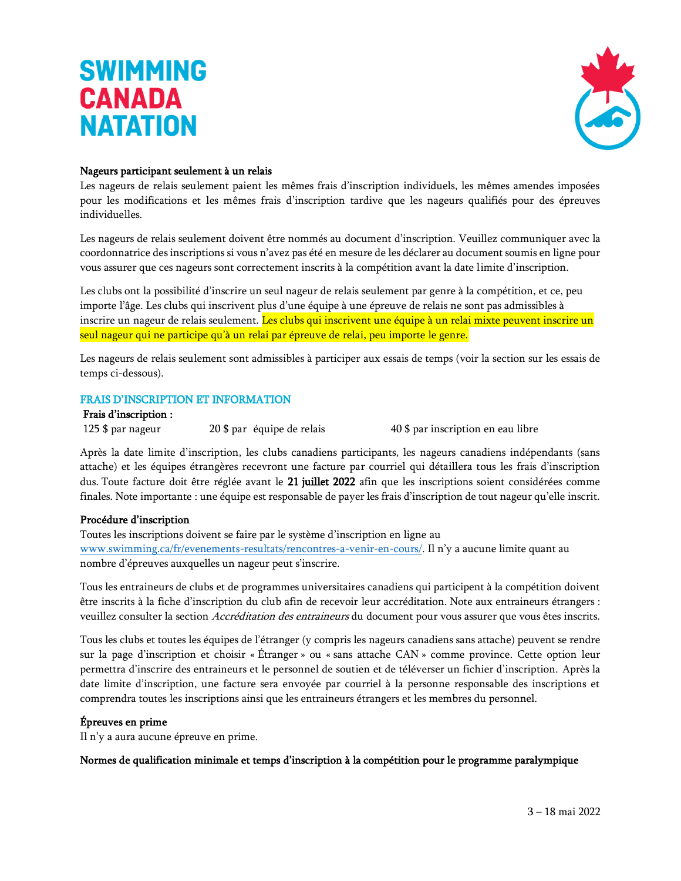

#### Nageurs participant seulement à un relais

Les nageurs de relais seulement paient les mêmes frais d'inscription individuels, les mêmes amendes imposées pour les modifications et les mêmes frais d'inscription tardive que les nageurs qualifiés pour des épreuves individuelles.

Les nageurs de relais seulement doivent être nommés au document d'inscription. Veuillez communiquer avec la coordonnatrice des inscriptions si vous n'avez pas été en mesure de les déclarer au document soumis en ligne pour vous assurer que ces nageurs sont correctement inscrits à la compétition avant la date limite d'inscription.

Les clubs ont la possibilité d'inscrire un seul nageur de relais seulement par genre à la compétition, et ce, peu importe l'âge. Les clubs qui inscrivent plus d'une équipe à une épreuve de relais ne sont pas admissibles à inscrire un nageur de relais seulement. Les clubs qui inscrivent une équipe à un relai mixte peuvent inscrire un seul nageur qui ne participe qu'à un relai par épreuve de relai, peu importe le genre.

Les nageurs de relais seulement sont admissibles à participer aux essais de temps (voir la section sur les essais de temps ci-dessous).

#### FRAIS D'INSCRIPTION ET INFORMATION

#### Frais d'inscription :

125 \$ par nageur 20 \$ par équipe de relais 40 \$ par inscription en eau libre

Après la date limite d'inscription, les clubs canadiens participants, les nageurs canadiens indépendants (sans attache) et les équipes étrangères recevront une facture par courriel qui détaillera tous les frais d'inscription dus. Toute facture doit être réglée avant le 21 juillet 2022 afin que les inscriptions soient considérées comme finales. Note importante : une équipe est responsable de payer les frais d'inscription de tout nageur qu'elle inscrit.

#### Procédure d'inscription

Toutes les inscriptions doivent se faire par le système d'inscription en ligne au [www.swimming.ca/fr/evenements-resultats/rencontres-a-venir-en-cours/](http://www.swimming.ca/fr/evenements-resultats/rencontres-a-venir-en-cours/). Il n'y a aucune limite quant au nombre d'épreuves auxquelles un nageur peut s'inscrire.

Tous les entraineurs de clubs et de programmes universitaires canadiens qui participent à la compétition doivent être inscrits à la fiche d'inscription du club afin de recevoir leur accréditation. Note aux entraineurs étrangers : veuillez consulter la section Accréditation des entraineurs du document pour vous assurer que vous êtes inscrits.

Tous les clubs et toutes les équipes de l'étranger (y compris les nageurs canadiens sans attache) peuvent se rendre sur la page d'inscription et choisir « Étranger » ou « sans attache CAN » comme province. Cette option leur permettra d'inscrire des entraineurs et le personnel de soutien et de téléverser un fichier d'inscription. Après la date limite d'inscription, une facture sera envoyée par courriel à la personne responsable des inscriptions et comprendra toutes les inscriptions ainsi que les entraineurs étrangers et les membres du personnel.

#### Épreuves en prime

Il n'y a aura aucune épreuve en prime.

#### Normes de qualification minimale et temps d'inscription à la compétition pour le programme paralympique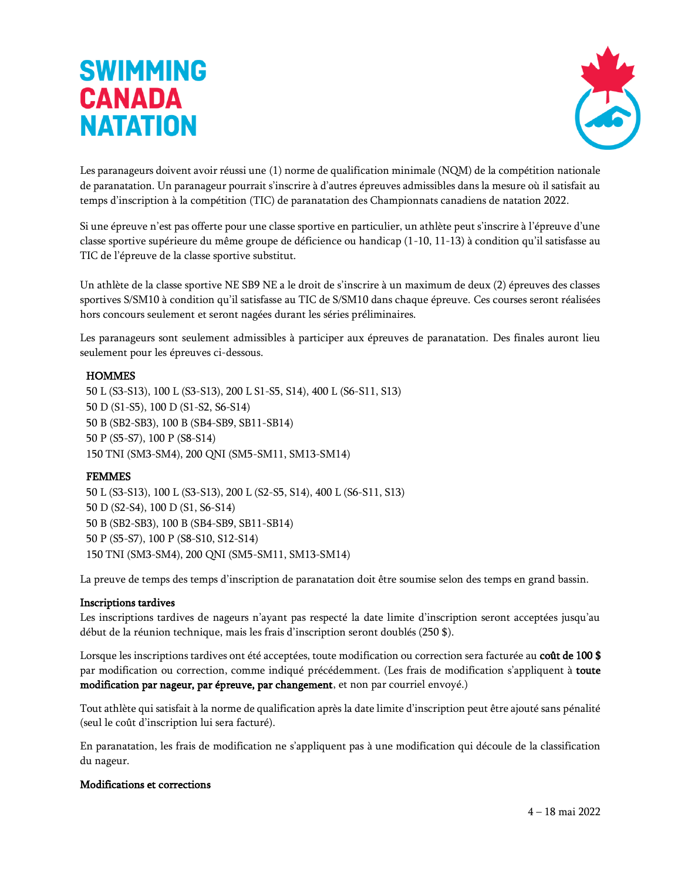

Les paranageurs doivent avoir réussi une (1) norme de qualification minimale (NQM) de la compétition nationale de paranatation. Un paranageur pourrait s'inscrire à d'autres épreuves admissibles dans la mesure où il satisfait au temps d'inscription à la compétition (TIC) de paranatation des Championnats canadiens de natation 2022.

Si une épreuve n'est pas offerte pour une classe sportive en particulier, un athlète peut s'inscrire à l'épreuve d'une classe sportive supérieure du même groupe de déficience ou handicap (1-10, 11-13) à condition qu'il satisfasse au TIC de l'épreuve de la classe sportive substitut.

Un athlète de la classe sportive NE SB9 NE a le droit de s'inscrire à un maximum de deux (2) épreuves des classes sportives S/SM10 à condition qu'il satisfasse au TIC de S/SM10 dans chaque épreuve. Ces courses seront réalisées hors concours seulement et seront nagées durant les séries préliminaires.

Les paranageurs sont seulement admissibles à participer aux épreuves de paranatation. Des finales auront lieu seulement pour les épreuves ci-dessous.

#### **HOMMES**

50 L (S3-S13), 100 L (S3-S13), 200 L S1-S5, S14), 400 L (S6-S11, S13) 50 D (S1-S5), 100 D (S1-S2, S6-S14) 50 B (SB2-SB3), 100 B (SB4-SB9, SB11-SB14) 50 P (S5-S7), 100 P (S8-S14) 150 TNI (SM3-SM4), 200 QNI (SM5-SM11, SM13-SM14)

#### FEMMES

50 L (S3-S13), 100 L (S3-S13), 200 L (S2-S5, S14), 400 L (S6-S11, S13) 50 D (S2-S4), 100 D (S1, S6-S14) 50 B (SB2-SB3), 100 B (SB4-SB9, SB11-SB14) 50 P (S5-S7), 100 P (S8-S10, S12-S14) 150 TNI (SM3-SM4), 200 QNI (SM5-SM11, SM13-SM14)

La preuve de temps des temps d'inscription de paranatation doit être soumise selon des temps en grand bassin.

#### Inscriptions tardives

Les inscriptions tardives de nageurs n'ayant pas respecté la date limite d'inscription seront acceptées jusqu'au début de la réunion technique, mais les frais d'inscription seront doublés (250 \$).

Lorsque les inscriptions tardives ont été acceptées, toute modification ou correction sera facturée au coût de 100 \$ par modification ou correction, comme indiqué précédemment. (Les frais de modification s'appliquent à toute modification par nageur, par épreuve, par changement, et non par courriel envoyé.)

Tout athlète qui satisfait à la norme de qualification après la date limite d'inscription peut être ajouté sans pénalité (seul le coût d'inscription lui sera facturé).

En paranatation, les frais de modification ne s'appliquent pas à une modification qui découle de la classification du nageur.

#### Modifications et corrections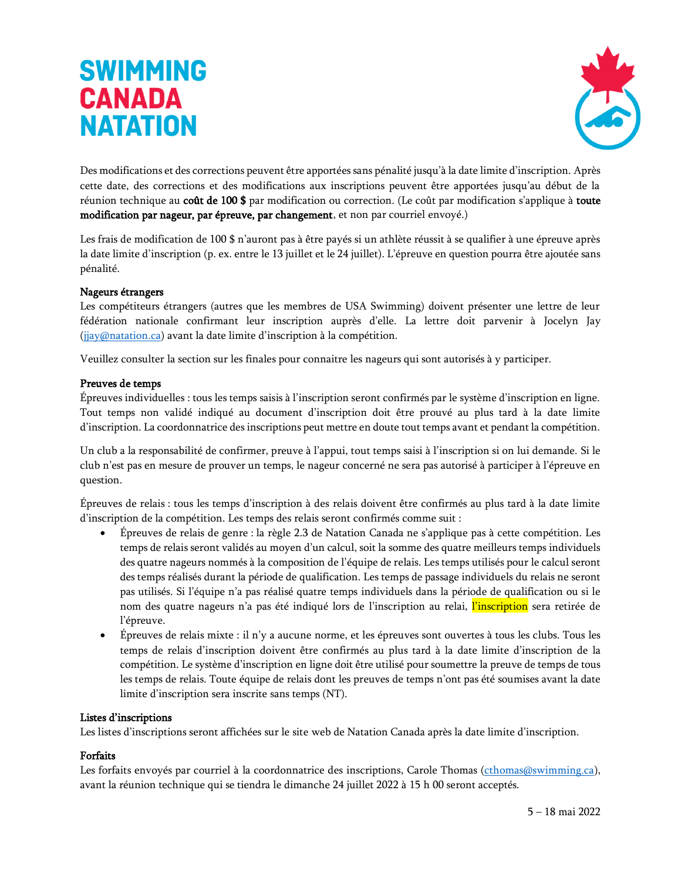

Des modifications et des corrections peuvent être apportées sans pénalité jusqu'à la date limite d'inscription. Après cette date, des corrections et des modifications aux inscriptions peuvent être apportées jusqu'au début de la réunion technique au coût de 100 \$ par modification ou correction. (Le coût par modification s'applique à toute modification par nageur, par épreuve, par changement, et non par courriel envoyé.)

Les frais de modification de 100 \$ n'auront pas à être payés si un athlète réussit à se qualifier à une épreuve après la date limite d'inscription (p. ex. entre le 13 juillet et le 24 juillet). L'épreuve en question pourra être ajoutée sans pénalité.

#### Nageurs étrangers

Les compétiteurs étrangers (autres que les membres de USA Swimming) doivent présenter une lettre de leur fédération nationale confirmant leur inscription auprès d'elle. La lettre doit parvenir à Jocelyn Jay [\(jjay@natation.ca\)](mailto:jjay@natation.ca) avant la date limite d'inscription à la compétition.

Veuillez consulter la section sur les finales pour connaitre les nageurs qui sont autorisés à y participer.

#### Preuves de temps

Épreuves individuelles : tous les temps saisis à l'inscription seront confirmés par le système d'inscription en ligne. Tout temps non validé indiqué au document d'inscription doit être prouvé au plus tard à la date limite d'inscription. La coordonnatrice des inscriptions peut mettre en doute tout temps avant et pendant la compétition.

Un club a la responsabilité de confirmer, preuve à l'appui, tout temps saisi à l'inscription si on lui demande. Si le club n'est pas en mesure de prouver un temps, le nageur concerné ne sera pas autorisé à participer à l'épreuve en question.

Épreuves de relais : tous les temps d'inscription à des relais doivent être confirmés au plus tard à la date limite d'inscription de la compétition. Les temps des relais seront confirmés comme suit :

- Épreuves de relais de genre : la règle 2.3 de Natation Canada ne s'applique pas à cette compétition. Les temps de relais seront validés au moyen d'un calcul, soit la somme des quatre meilleurs temps individuels des quatre nageurs nommés à la composition de l'équipe de relais. Les temps utilisés pour le calcul seront des temps réalisés durant la période de qualification. Les temps de passage individuels du relais ne seront pas utilisés. Si l'équipe n'a pas réalisé quatre temps individuels dans la période de qualification ou si le nom des quatre nageurs n'a pas été indiqué lors de l'inscription au relai, l'inscription sera retirée de l'épreuve.
- Épreuves de relais mixte : il n'y a aucune norme, et les épreuves sont ouvertes à tous les clubs. Tous les temps de relais d'inscription doivent être confirmés au plus tard à la date limite d'inscription de la compétition. Le système d'inscription en ligne doit être utilisé pour soumettre la preuve de temps de tous les temps de relais. Toute équipe de relais dont les preuves de temps n'ont pas été soumises avant la date limite d'inscription sera inscrite sans temps (NT).

#### Listes d'inscriptions

Les listes d'inscriptions seront affichées sur le site web de Natation Canada après la date limite d'inscription.

#### Forfaits

Les forfaits envoyés par courriel à la coordonnatrice des inscriptions, Carole Thomas [\(cthomas@swimming.ca\)](mailto:cthomas@swimming.ca), avant la réunion technique qui se tiendra le dimanche 24 juillet 2022 à 15 h 00 seront acceptés.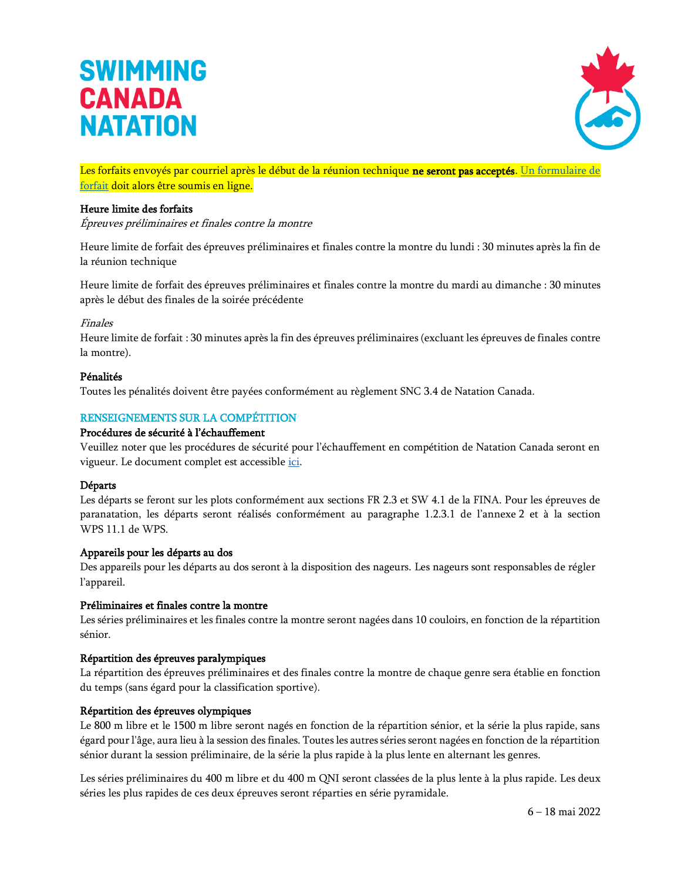![](_page_16_Picture_1.jpeg)

Les forfaits envoyés par courriel après le début de la réunion technique ne seront pas acceptés. Un formulaire de [forfait](https://forms.swimming.ca/machform/view.php?id=201482) doit alors être soumis en ligne.

#### Heure limite des forfaits

Épreuves préliminaires et finales contre la montre

Heure limite de forfait des épreuves préliminaires et finales contre la montre du lundi : 30 minutes après la fin de la réunion technique

Heure limite de forfait des épreuves préliminaires et finales contre la montre du mardi au dimanche : 30 minutes après le début des finales de la soirée précédente

#### Finales

Heure limite de forfait : 30 minutes après la fin des épreuves préliminaires (excluant les épreuves de finales contre la montre).

#### Pénalités

Toutes les pénalités doivent être payées conformément au règlement SNC 3.4 de Natation Canada.

#### RENSEIGNEMENTS SUR LA COMPÉTITION

#### Procédures de sécurité à l'échauffement

Veuillez noter que les procédures de sécurité pour l'échauffement en compétition de Natation Canada seront en vigueur. Le document complet est accessible [ici.](https://www.swimming.ca/fr/ressources/officiels/reglements-et-formulaires/procedures-de-securite-pour-lechauffement-en-competition/)

#### Départs

Les départs se feront sur les plots conformément aux sections FR 2.3 et SW 4.1 de la FINA. Pour les épreuves de paranatation, les départs seront réalisés conformément au paragraphe 1.2.3.1 de l'annexe 2 et à la section WPS 11.1 de WPS.

#### Appareils pour les départs au dos

Des appareils pour les départs au dos seront à la disposition des nageurs. Les nageurs sont responsables de régler l'appareil.

#### Préliminaires et finales contre la montre

Les séries préliminaires et les finales contre la montre seront nagées dans 10 couloirs, en fonction de la répartition sénior.

#### Répartition des épreuves paralympiques

La répartition des épreuves préliminaires et des finales contre la montre de chaque genre sera établie en fonction du temps (sans égard pour la classification sportive).

#### Répartition des épreuves olympiques

Le 800 m libre et le 1500 m libre seront nagés en fonction de la répartition sénior, et la série la plus rapide, sans égard pour l'âge, aura lieu à la session des finales. Toutes les autres séries seront nagées en fonction de la répartition sénior durant la session préliminaire, de la série la plus rapide à la plus lente en alternant les genres.

Les séries préliminaires du 400 m libre et du 400 m QNI seront classées de la plus lente à la plus rapide. Les deux séries les plus rapides de ces deux épreuves seront réparties en série pyramidale.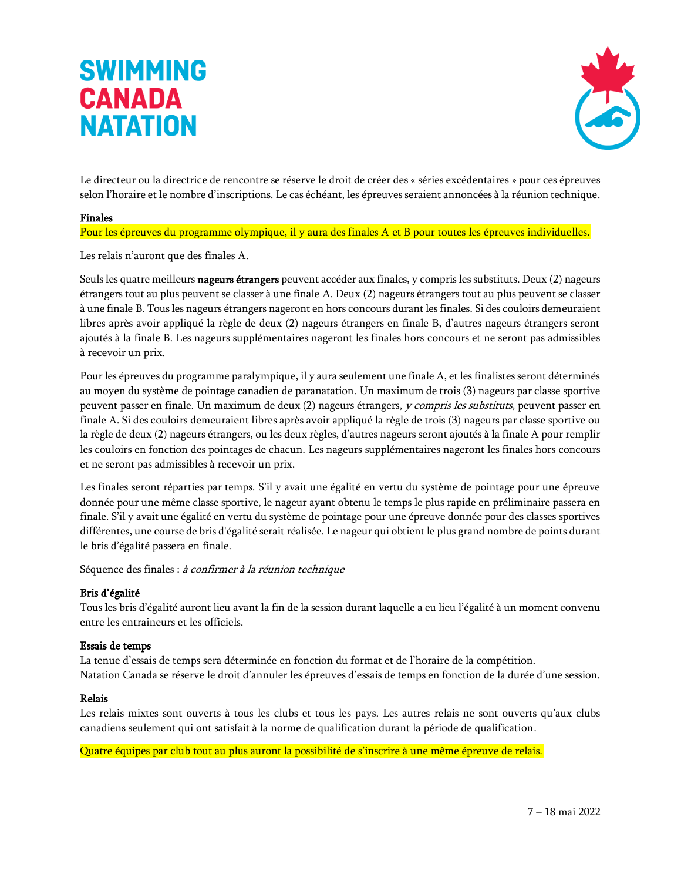![](_page_17_Picture_1.jpeg)

Le directeur ou la directrice de rencontre se réserve le droit de créer des « séries excédentaires » pour ces épreuves selon l'horaire et le nombre d'inscriptions. Le cas échéant, les épreuves seraient annoncées à la réunion technique.

#### Finales

Pour les épreuves du programme olympique, il y aura des finales A et B pour toutes les épreuves individuelles.

Les relais n'auront que des finales A.

Seuls les quatre meilleurs nageurs étrangers peuvent accéder aux finales, y compris les substituts. Deux (2) nageurs étrangers tout au plus peuvent se classer à une finale A. Deux (2) nageurs étrangers tout au plus peuvent se classer à une finale B. Tous les nageurs étrangers nageront en hors concours durant les finales. Si des couloirs demeuraient libres après avoir appliqué la règle de deux (2) nageurs étrangers en finale B, d'autres nageurs étrangers seront ajoutés à la finale B. Les nageurs supplémentaires nageront les finales hors concours et ne seront pas admissibles à recevoir un prix.

Pour les épreuves du programme paralympique, il y aura seulement une finale A, et les finalistes seront déterminés au moyen du système de pointage canadien de paranatation. Un maximum de trois (3) nageurs par classe sportive peuvent passer en finale. Un maximum de deux (2) nageurs étrangers, y compris les substituts, peuvent passer en finale A. Si des couloirs demeuraient libres après avoir appliqué la règle de trois (3) nageurs par classe sportive ou la règle de deux (2) nageurs étrangers, ou les deux règles, d'autres nageurs seront ajoutés à la finale A pour remplir les couloirs en fonction des pointages de chacun. Les nageurs supplémentaires nageront les finales hors concours et ne seront pas admissibles à recevoir un prix.

Les finales seront réparties par temps. S'il y avait une égalité en vertu du système de pointage pour une épreuve donnée pour une même classe sportive, le nageur ayant obtenu le temps le plus rapide en préliminaire passera en finale. S'il y avait une égalité en vertu du système de pointage pour une épreuve donnée pour des classes sportives différentes, une course de bris d'égalité serait réalisée. Le nageur qui obtient le plus grand nombre de points durant le bris d'égalité passera en finale.

Séquence des finales : à confirmer à la réunion technique

#### Bris d'égalité

Tous les bris d'égalité auront lieu avant la fin de la session durant laquelle a eu lieu l'égalité à un moment convenu entre les entraineurs et les officiels.

#### Essais de temps

La tenue d'essais de temps sera déterminée en fonction du format et de l'horaire de la compétition. Natation Canada se réserve le droit d'annuler les épreuves d'essais de temps en fonction de la durée d'une session.

#### Relais

Les relais mixtes sont ouverts à tous les clubs et tous les pays. Les autres relais ne sont ouverts qu'aux clubs canadiens seulement qui ont satisfait à la norme de qualification durant la période de qualification.

Quatre équipes par club tout au plus auront la possibilité de s'inscrire à une même épreuve de relais.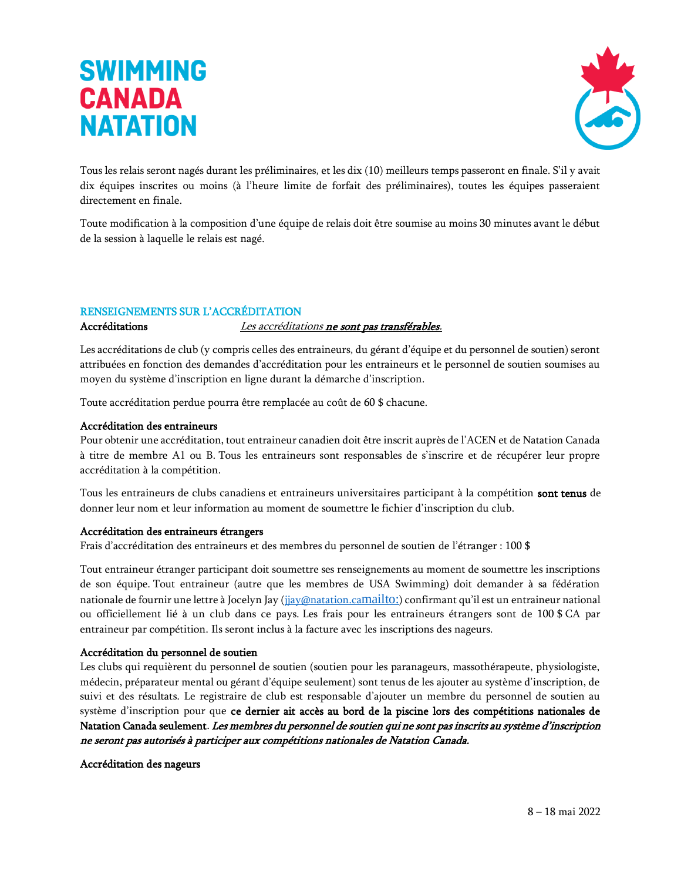![](_page_18_Picture_1.jpeg)

Tous les relais seront nagés durant les préliminaires, et les dix (10) meilleurs temps passeront en finale. S'il y avait dix équipes inscrites ou moins (à l'heure limite de forfait des préliminaires), toutes les équipes passeraient directement en finale.

Toute modification à la composition d'une équipe de relais doit être soumise au moins 30 minutes avant le début de la session à laquelle le relais est nagé.

#### RENSEIGNEMENTS SUR L'ACCRÉDITATION

#### Accréditations *Les accréditations ne sont pas transférables.*

Les accréditations de club (y compris celles des entraineurs, du gérant d'équipe et du personnel de soutien) seront attribuées en fonction des demandes d'accréditation pour les entraineurs et le personnel de soutien soumises au moyen du système d'inscription en ligne durant la démarche d'inscription.

Toute accréditation perdue pourra être remplacée au coût de 60 \$ chacune.

#### Accréditation des entraineurs

Pour obtenir une accréditation, tout entraineur canadien doit être inscrit auprès de l'ACEN et de Natation Canada à titre de membre A1 ou B. Tous les entraineurs sont responsables de s'inscrire et de récupérer leur propre accréditation à la compétition.

Tous les entraineurs de clubs canadiens et entraineurs universitaires participant à la compétition sont tenus de donner leur nom et leur information au moment de soumettre le fichier d'inscription du club.

#### Accréditation des entraineurs étrangers

Frais d'accréditation des entraineurs et des membres du personnel de soutien de l'étranger : 100 \$

Tout entraineur étranger participant doit soumettre ses renseignements au moment de soumettre les inscriptions de son équipe. Tout entraineur (autre que les membres de USA Swimming) doit demander à sa fédération nationale de fournir une lettre à Jocelyn Jay [\(jjay@natation.ca](mailto:jjay@natation.ca)<mailto:>) confirmant qu'il est un entraineur national ou officiellement lié à un club dans ce pays. Les frais pour les entraineurs étrangers sont de 100 \$ CA par entraineur par compétition. Ils seront inclus à la facture avec les inscriptions des nageurs.

#### Accréditation du personnel de soutien

Les clubs qui requièrent du personnel de soutien (soutien pour les paranageurs, massothérapeute, physiologiste, médecin, préparateur mental ou gérant d'équipe seulement) sont tenus de les ajouter au système d'inscription, de suivi et des résultats. Le registraire de club est responsable d'ajouter un membre du personnel de soutien au système d'inscription pour que ce dernier ait accès au bord de la piscine lors des compétitions nationales de Natation Canada seulement. Les membres du personnel de soutien qui ne sont pas inscrits au système d'inscription ne seront pas autorisés à participer aux compétitions nationales de Natation Canada.

Accréditation des nageurs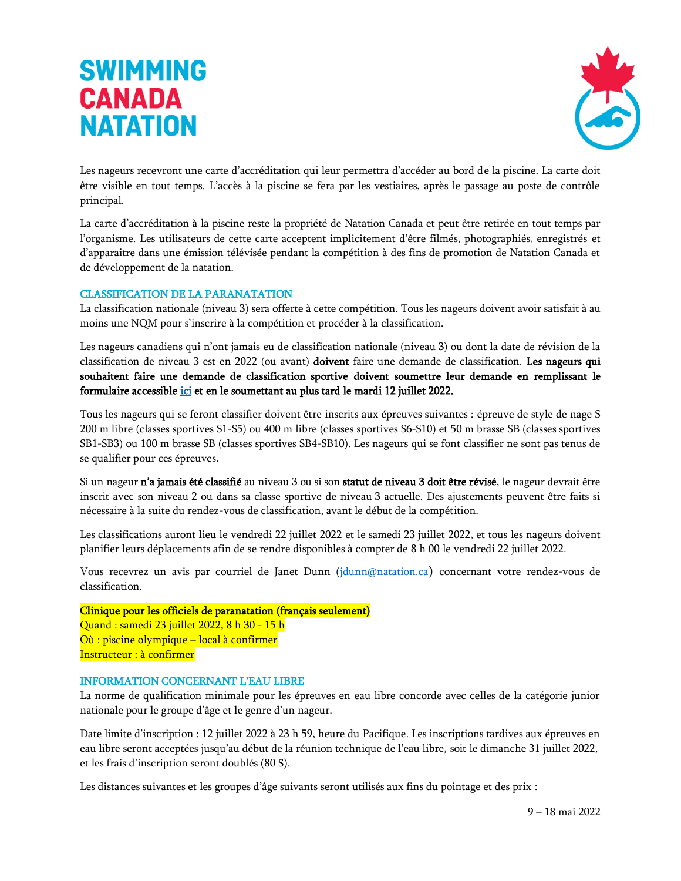![](_page_19_Picture_1.jpeg)

Les nageurs recevront une carte d'accréditation qui leur permettra d'accéder au bord de la piscine. La carte doit être visible en tout temps. L'accès à la piscine se fera par les vestiaires, après le passage au poste de contrôle principal.

La carte d'accréditation à la piscine reste la propriété de Natation Canada et peut être retirée en tout temps par l'organisme. Les utilisateurs de cette carte acceptent implicitement d'être filmés, photographiés, enregistrés et d'apparaitre dans une émission télévisée pendant la compétition à des fins de promotion de Natation Canada et de développement de la natation.

#### CLASSIFICATION DE LA PARANATATION

La classification nationale (niveau 3) sera offerte à cette compétition. Tous les nageurs doivent avoir satisfait à au moins une NQM pour s'inscrire à la compétition et procéder à la classification.

Les nageurs canadiens qui n'ont jamais eu de classification nationale (niveau 3) ou dont la date de révision de la classification de niveau 3 est en 2022 (ou avant) doivent faire une demande de classification. Les nageurs qui souhaitent faire une demande de classification sportive doivent soumettre leur demande en remplissant le formulaire accessible *ici* et en le soumettant au plus tard le mardi 12 juillet 2022.

Tous les nageurs qui se feront classifier doivent être inscrits aux épreuves suivantes : épreuve de style de nage S 200 m libre (classes sportives S1-S5) ou 400 m libre (classes sportives S6-S10) et 50 m brasse SB (classes sportives SB1-SB3) ou 100 m brasse SB (classes sportives SB4-SB10). Les nageurs qui se font classifier ne sont pas tenus de se qualifier pour ces épreuves.

Si un nageur n'a jamais été classifié au niveau 3 ou si son statut de niveau 3 doit être révisé, le nageur devrait être inscrit avec son niveau 2 ou dans sa classe sportive de niveau 3 actuelle. Des ajustements peuvent être faits si nécessaire à la suite du rendez-vous de classification, avant le début de la compétition.

Les classifications auront lieu le vendredi 22 juillet 2022 et le samedi 23 juillet 2022, et tous les nageurs doivent planifier leurs déplacements afin de se rendre disponibles à compter de 8 h 00 le vendredi 22 juillet 2022.

Vous recevrez un avis par courriel de Janet Dunn [\(jdunn@natation.ca](mailto:jdunn@natation.ca)) concernant votre rendez-vous de classification.

#### Clinique pour les officiels de paranatation (français seulement)

Quand : samedi 23 juillet 2022, 8 h 30 - 15 h Où : piscine olympique – local à confirmer Instructeur : à confirmer

#### INFORMATION CONCERNANT L'EAU LIBRE

La norme de qualification minimale pour les épreuves en eau libre concorde avec celles de la catégorie junior nationale pour le groupe d'âge et le genre d'un nageur.

Date limite d'inscription : 12 juillet 2022 à 23 h 59, heure du Pacifique. Les inscriptions tardives aux épreuves en eau libre seront acceptées jusqu'au début de la réunion technique de l'eau libre, soit le dimanche 31 juillet 2022, et les frais d'inscription seront doublés (80 \$).

Les distances suivantes et les groupes d'âge suivants seront utilisés aux fins du pointage et des prix :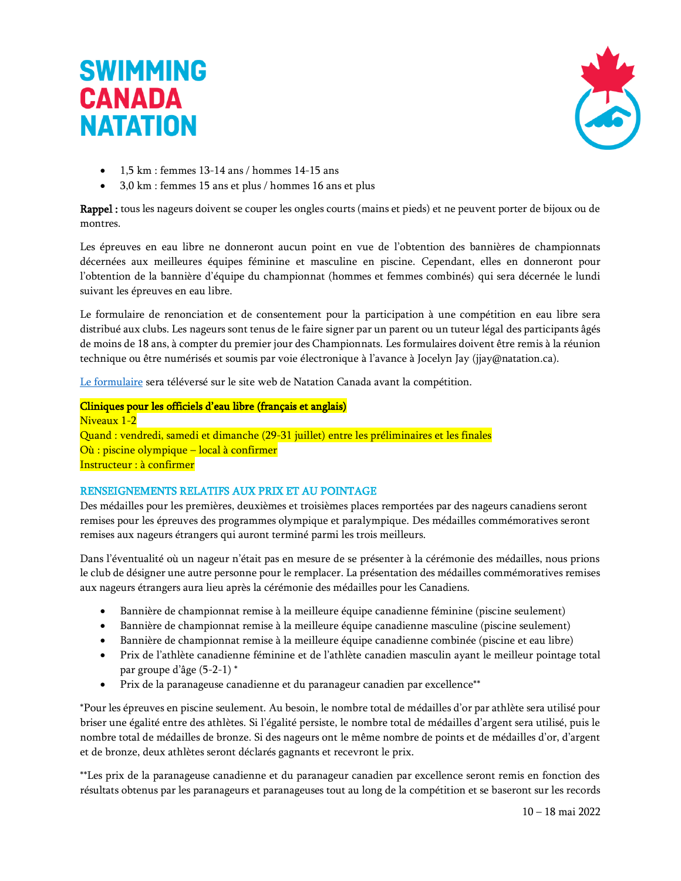![](_page_20_Picture_1.jpeg)

- 1,5 km : femmes 13-14 ans / hommes 14-15 ans
- 3,0 km : femmes 15 ans et plus / hommes 16 ans et plus

Rappel : tous les nageurs doivent se couper les ongles courts (mains et pieds) et ne peuvent porter de bijoux ou de montres.

Les épreuves en eau libre ne donneront aucun point en vue de l'obtention des bannières de championnats décernées aux meilleures équipes féminine et masculine en piscine. Cependant, elles en donneront pour l'obtention de la bannière d'équipe du championnat (hommes et femmes combinés) qui sera décernée le lundi suivant les épreuves en eau libre.

Le formulaire de renonciation et de consentement pour la participation à une compétition en eau libre sera distribué aux clubs. Les nageurs sont tenus de le faire signer par un parent ou un tuteur légal des participants âgés de moins de 18 ans, à compter du premier jour des Championnats. Les formulaires doivent être remis à la réunion technique ou être numérisés et soumis par voie électronique à l'avance à Jocelyn Jay (jjay@natation.ca).

[Le formulaire](https://www.swimming.ca/content/uploads/2021/10/Formulaire_de_renonciation_et_de_consentement_competition_en_eaul_libre_FINAL.pdf) sera téléversé sur le site web de Natation Canada avant la compétition.

#### Cliniques pour les officiels d'eau libre (français et anglais)

Niveaux 1-2 Quand : vendredi, samedi et dimanche (29-31 juillet) entre les préliminaires et les finales Où : piscine olympique – local à confirmer Instructeur : à confirmer

#### RENSEIGNEMENTS RELATIFS AUX PRIX ET AU POINTAGE

Des médailles pour les premières, deuxièmes et troisièmes places remportées par des nageurs canadiens seront remises pour les épreuves des programmes olympique et paralympique. Des médailles commémoratives seront remises aux nageurs étrangers qui auront terminé parmi les trois meilleurs.

Dans l'éventualité où un nageur n'était pas en mesure de se présenter à la cérémonie des médailles, nous prions le club de désigner une autre personne pour le remplacer. La présentation des médailles commémoratives remises aux nageurs étrangers aura lieu après la cérémonie des médailles pour les Canadiens.

- Bannière de championnat remise à la meilleure équipe canadienne féminine (piscine seulement)
- Bannière de championnat remise à la meilleure équipe canadienne masculine (piscine seulement)
- Bannière de championnat remise à la meilleure équipe canadienne combinée (piscine et eau libre)
- Prix de l'athlète canadienne féminine et de l'athlète canadien masculin ayant le meilleur pointage total par groupe d'âge (5-2-1) \*
- Prix de la paranageuse canadienne et du paranageur canadien par excellence\*\*

\*Pour les épreuves en piscine seulement. Au besoin, le nombre total de médailles d'or par athlète sera utilisé pour briser une égalité entre des athlètes. Si l'égalité persiste, le nombre total de médailles d'argent sera utilisé, puis le nombre total de médailles de bronze. Si des nageurs ont le même nombre de points et de médailles d'or, d'argent et de bronze, deux athlètes seront déclarés gagnants et recevront le prix.

\*\*Les prix de la paranageuse canadienne et du paranageur canadien par excellence seront remis en fonction des résultats obtenus par les paranageurs et paranageuses tout au long de la compétition et se baseront sur les records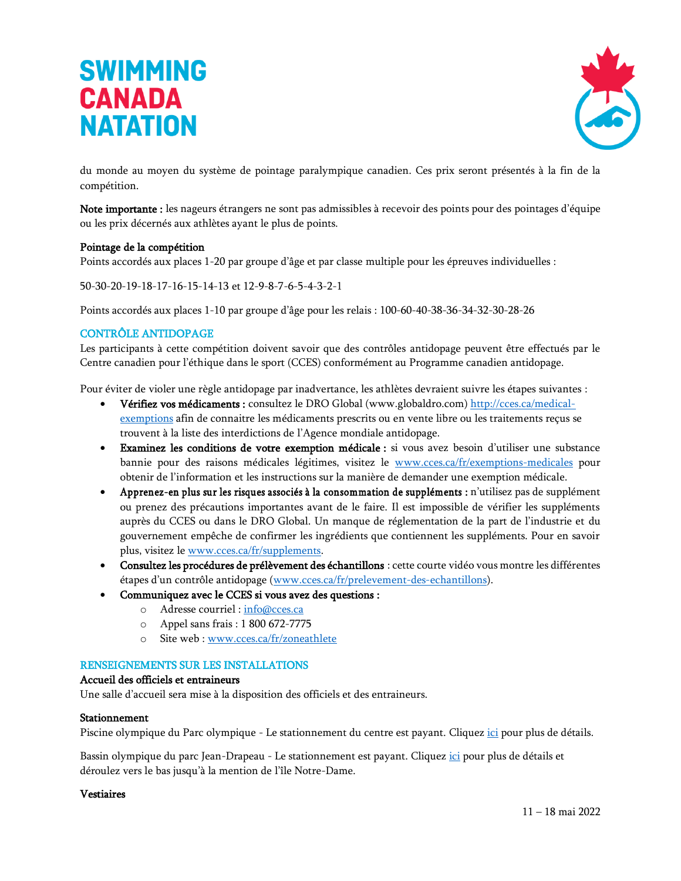![](_page_21_Picture_1.jpeg)

du monde au moyen du système de pointage paralympique canadien. Ces prix seront présentés à la fin de la compétition.

Note importante : les nageurs étrangers ne sont pas admissibles à recevoir des points pour des pointages d'équipe ou les prix décernés aux athlètes ayant le plus de points.

#### Pointage de la compétition

Points accordés aux places 1-20 par groupe d'âge et par classe multiple pour les épreuves individuelles :

50-30-20-19-18-17-16-15-14-13 et 12-9-8-7-6-5-4-3-2-1

Points accordés aux places 1-10 par groupe d'âge pour les relais : 100-60-40-38-36-34-32-30-28-26

#### CONTRÔLE ANTIDOPAGE

Les participants à cette compétition doivent savoir que des contrôles antidopage peuvent être effectués par le Centre canadien pour l'éthique dans le sport (CCES) conformément au Programme canadien antidopage.

Pour éviter de violer une règle antidopage par inadvertance, les athlètes devraient suivre les étapes suivantes :

- Vérifiez vos médicaments : consultez le DRO Global [\(www.globaldro.com\)](http://www.globaldro.com/) [http://cces.ca/medical](http://cces.ca/medical-exemptions)[exemptions](http://cces.ca/medical-exemptions) afin de connaitre les médicaments prescrits ou en vente libre ou les traitements reçus se trouvent à la liste des interdictions de l'Agence mondiale antidopage.
- Examinez les conditions de votre exemption médicale : si vous avez besoin d'utiliser une substance bannie pour des raisons médicales légitimes, visitez le [www.cces.ca/fr/exemptions-medicales](http://www.cces.ca/fr/exemptions-medicales) pour obtenir de l'information et les instructions sur la manière de demander une exemption médicale.
- Apprenez-en plus sur les risques associés à la consommation de suppléments : n'utilisez pas de supplément ou prenez des précautions importantes avant de le faire. Il est impossible de vérifier les suppléments auprès du CCES ou dans le DRO Global. Un manque de réglementation de la part de l'industrie et du gouvernement empêche de confirmer les ingrédients que contiennent les suppléments. Pour en savoir plus, visitez le [www.cces.ca/fr/supplements.](http://www.cces.ca/fr/supplements)
- Consultez les procédures de prélèvement des échantillons : cette courte vidéo vous montre les différentes étapes d'un contrôle antidopage ([www.cces.ca/fr/prelevement-des-echantillons\)](http://www.cces.ca/fr/prelevement-des-echantillons).
- Communiquez avec le CCES si vous avez des questions :
	- o Adresse courriel : [info@cces.ca](mailto:info@cces.ca)
	- o Appel sans frais : 1 800 672-7775
	- o Site web : [www.cces.ca/fr/zoneathlete](http://www.cces.ca/fr/zoneathlete)

#### RENSEIGNEMENTS SUR LES INSTALLATIONS

#### Accueil des officiels et entraineurs

Une salle d'accueil sera mise à la disposition des officiels et des entraineurs.

#### Stationnement

Piscine olympique du Parc olympique - Le stationnement du centre est payant. Cliquez [ici](https://parcolympique.qc.ca/centresportif/abonnements-2021/#Tarifs-du-stationnement) pour plus de détails.

Bassin olympique du parc Jean-Drapeau - Le stationnement est payant. Cliquez [ici](https://www.parcjeandrapeau.com/fr/stationnement/) pour plus de détails et déroulez vers le bas jusqu'à la mention de l'île Notre-Dame.

#### Vestiaires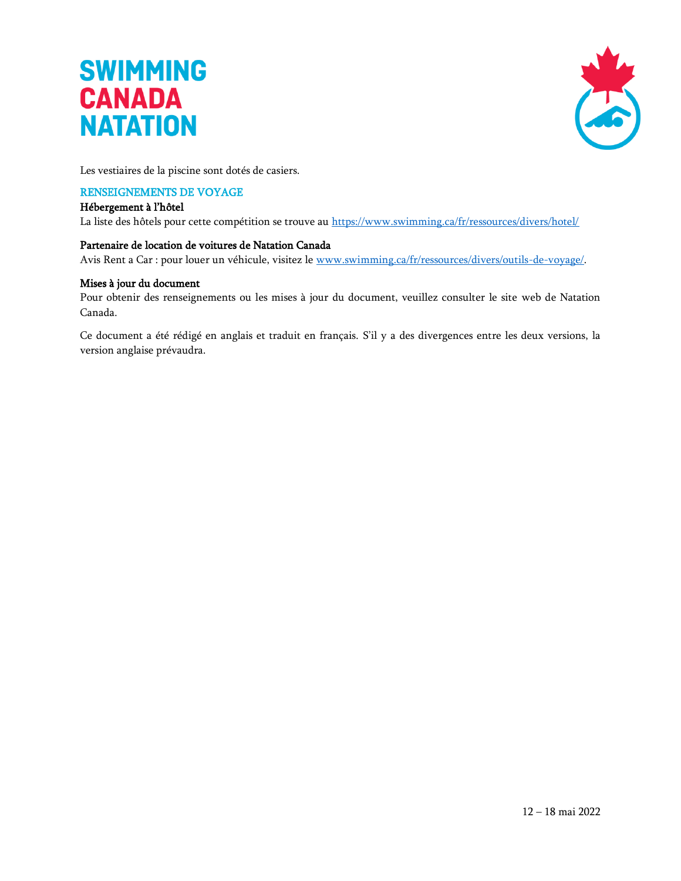![](_page_22_Picture_1.jpeg)

Les vestiaires de la piscine sont dotés de casiers.

#### RENSEIGNEMENTS DE VOYAGE

#### Hébergement à l'hôtel

La liste des hôtels pour cette compétition se trouve au<https://www.swimming.ca/fr/ressources/divers/hotel/>

#### Partenaire de location de voitures de Natation Canada

Avis Rent a Car : pour louer un véhicule, visitez le [www.swimming.ca/fr/ressources/divers/outils-de-voyage/.](http://www.swimming.ca/fr/ressources/divers/outils-de-voyage/)

#### Mises à jour du document

Pour obtenir des renseignements ou les mises à jour du document, veuillez consulter le site web de Natation Canada.

Ce document a été rédigé en anglais et traduit en français. S'il y a des divergences entre les deux versions, la version anglaise prévaudra.